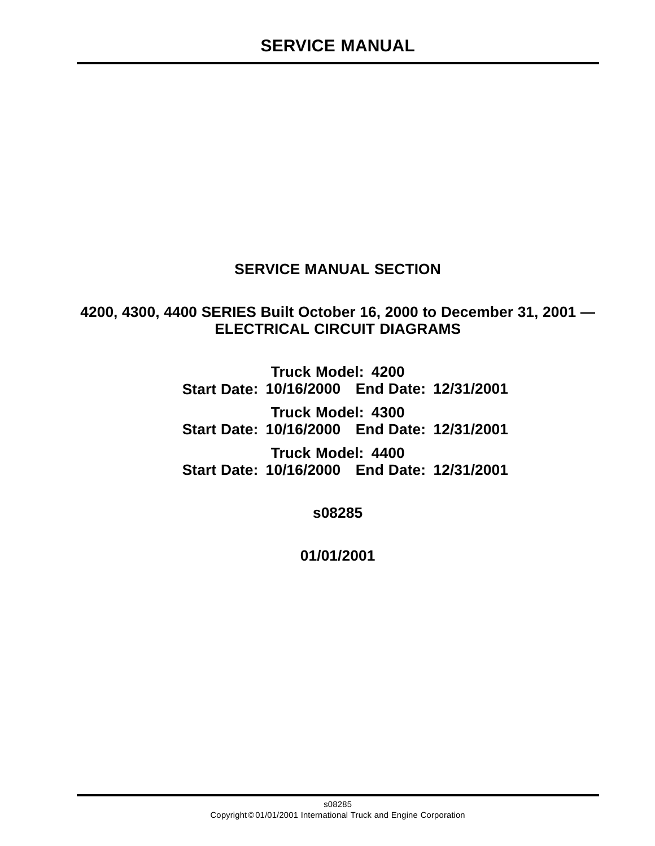# **SERVICE MANUAL SECTION**

**4200, 4300, 4400 SERIES Built October 16, 2000 to December 31, 2001 — ELECTRICAL CIRCUIT DIAGRAMS**

> **Truck Model: 4200 Start Date: 10/16/2000 End Date: 12/31/2001 Truck Model: 4300 Start Date: 10/16/2000 End Date: 12/31/2001 Truck Model: 4400 Start Date: 10/16/2000 End Date: 12/31/2001**

> > **s08285**

**01/01/2001**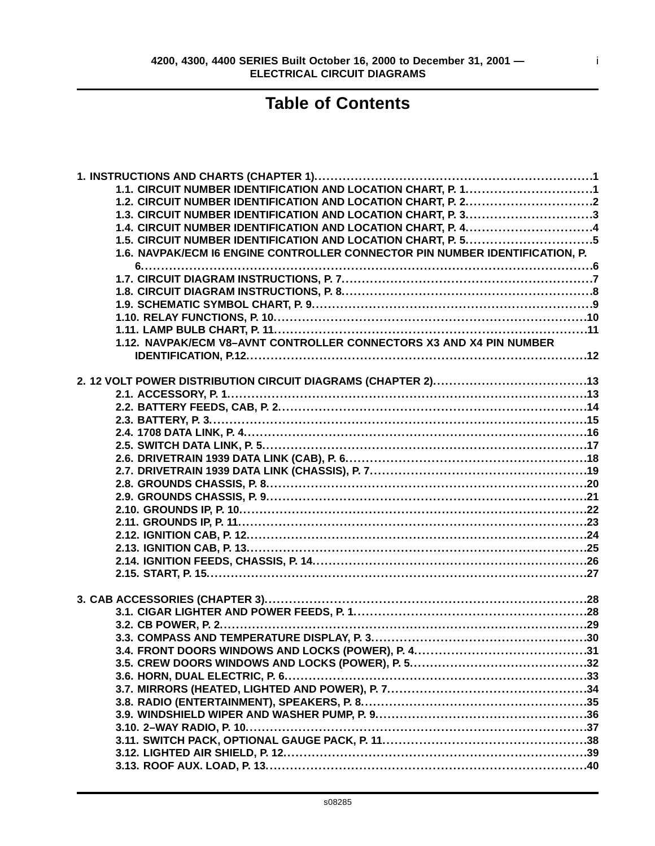i

# **Table of Contents**

| 1.1. CIRCUIT NUMBER IDENTIFICATION AND LOCATION CHART, P. 11                 |  |
|------------------------------------------------------------------------------|--|
|                                                                              |  |
| 1.3. CIRCUIT NUMBER IDENTIFICATION AND LOCATION CHART, P. 33                 |  |
| 1.4. CIRCUIT NUMBER IDENTIFICATION AND LOCATION CHART, P. 44                 |  |
| 1.5. CIRCUIT NUMBER IDENTIFICATION AND LOCATION CHART, P. 55                 |  |
| 1.6. NAVPAK/ECM I6 ENGINE CONTROLLER CONNECTOR PIN NUMBER IDENTIFICATION, P. |  |
|                                                                              |  |
|                                                                              |  |
|                                                                              |  |
|                                                                              |  |
|                                                                              |  |
|                                                                              |  |
| 1.12. NAVPAK/ECM V8-AVNT CONTROLLER CONNECTORS X3 AND X4 PIN NUMBER          |  |
|                                                                              |  |
|                                                                              |  |
|                                                                              |  |
|                                                                              |  |
|                                                                              |  |
|                                                                              |  |
|                                                                              |  |
|                                                                              |  |
|                                                                              |  |
|                                                                              |  |
|                                                                              |  |
|                                                                              |  |
|                                                                              |  |
|                                                                              |  |
|                                                                              |  |
|                                                                              |  |
|                                                                              |  |
|                                                                              |  |
|                                                                              |  |
|                                                                              |  |
|                                                                              |  |
|                                                                              |  |
|                                                                              |  |
|                                                                              |  |
|                                                                              |  |
|                                                                              |  |
|                                                                              |  |
|                                                                              |  |
|                                                                              |  |
|                                                                              |  |
|                                                                              |  |
|                                                                              |  |
|                                                                              |  |
|                                                                              |  |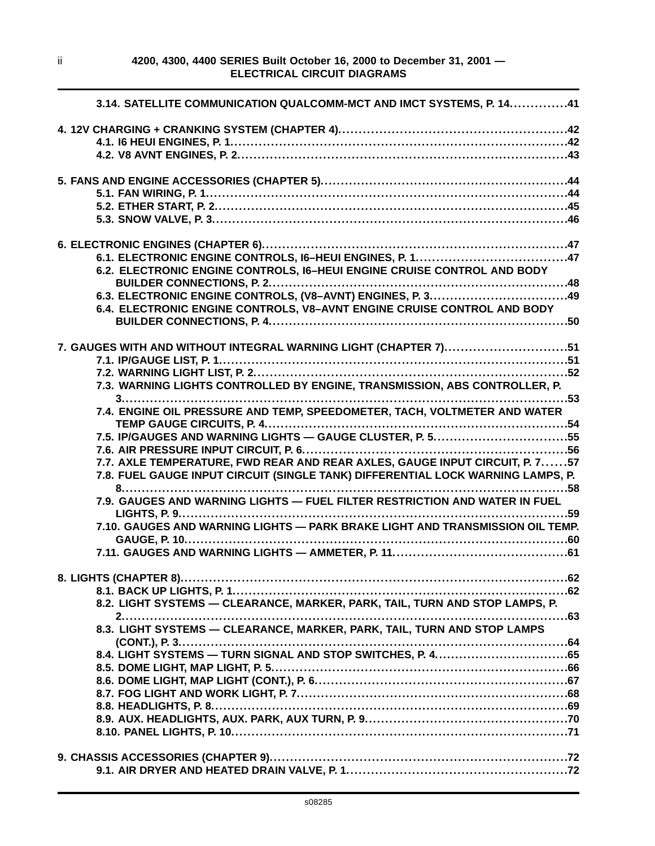| 3.14. SATELLITE COMMUNICATION QUALCOMM-MCT AND IMCT SYSTEMS, P. 1441                                                                                                                                             |
|------------------------------------------------------------------------------------------------------------------------------------------------------------------------------------------------------------------|
|                                                                                                                                                                                                                  |
|                                                                                                                                                                                                                  |
|                                                                                                                                                                                                                  |
|                                                                                                                                                                                                                  |
| 6.2. ELECTRONIC ENGINE CONTROLS, I6-HEUI ENGINE CRUISE CONTROL AND BODY<br>6.3. ELECTRONIC ENGINE CONTROLS, (V8-AVNT) ENGINES, P. 349<br>6.4. ELECTRONIC ENGINE CONTROLS, V8-AVNT ENGINE CRUISE CONTROL AND BODY |
| 7. GAUGES WITH AND WITHOUT INTEGRAL WARNING LIGHT (CHAPTER 7)51<br>7.3. WARNING LIGHTS CONTROLLED BY ENGINE, TRANSMISSION, ABS CONTROLLER, P.                                                                    |
|                                                                                                                                                                                                                  |
| 7.8. FUEL GAUGE INPUT CIRCUIT (SINGLE TANK) DIFFERENTIAL LOCK WARNING LAMPS, P.                                                                                                                                  |
|                                                                                                                                                                                                                  |
|                                                                                                                                                                                                                  |
| 8.2. LIGHT SYSTEMS - CLEARANCE, MARKER, PARK, TAIL, TURN AND STOP LAMPS, P.<br>2                                                                                                                                 |
| 8.3. LIGHT SYSTEMS - CLEARANCE, MARKER, PARK, TAIL, TURN AND STOP LAMPS                                                                                                                                          |
|                                                                                                                                                                                                                  |
|                                                                                                                                                                                                                  |
|                                                                                                                                                                                                                  |
|                                                                                                                                                                                                                  |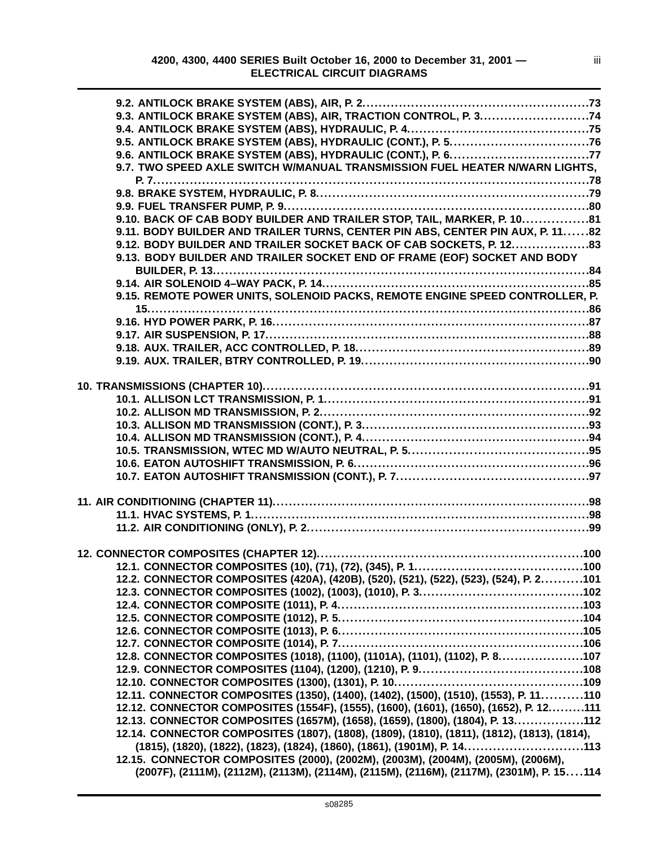| 9.3. ANTILOCK BRAKE SYSTEM (ABS), AIR, TRACTION CONTROL, P. 374                             |  |
|---------------------------------------------------------------------------------------------|--|
|                                                                                             |  |
|                                                                                             |  |
|                                                                                             |  |
| 9.7. TWO SPEED AXLE SWITCH W/MANUAL TRANSMISSION FUEL HEATER N/WARN LIGHTS,                 |  |
|                                                                                             |  |
|                                                                                             |  |
|                                                                                             |  |
| 9.10. BACK OF CAB BODY BUILDER AND TRAILER STOP, TAIL, MARKER, P. 1081                      |  |
| 9.11. BODY BUILDER AND TRAILER TURNS, CENTER PIN ABS, CENTER PIN AUX, P. 1182               |  |
| 9.12. BODY BUILDER AND TRAILER SOCKET BACK OF CAB SOCKETS, P. 1283                          |  |
| 9.13. BODY BUILDER AND TRAILER SOCKET END OF FRAME (EOF) SOCKET AND BODY                    |  |
|                                                                                             |  |
|                                                                                             |  |
| 9.15. REMOTE POWER UNITS, SOLENOID PACKS, REMOTE ENGINE SPEED CONTROLLER, P.                |  |
|                                                                                             |  |
|                                                                                             |  |
|                                                                                             |  |
|                                                                                             |  |
|                                                                                             |  |
|                                                                                             |  |
| 10. TRANSMISSIONS (CHAPTER 10)…………………………………………………………………………91                                |  |
|                                                                                             |  |
|                                                                                             |  |
|                                                                                             |  |
|                                                                                             |  |
|                                                                                             |  |
|                                                                                             |  |
|                                                                                             |  |
|                                                                                             |  |
|                                                                                             |  |
|                                                                                             |  |
|                                                                                             |  |
|                                                                                             |  |
|                                                                                             |  |
|                                                                                             |  |
| 12.2. CONNECTOR COMPOSITES (420A), (420B), (520), (521), (522), (523), (524), P. 2101       |  |
|                                                                                             |  |
|                                                                                             |  |
|                                                                                             |  |
|                                                                                             |  |
|                                                                                             |  |
| 12.8. CONNECTOR COMPOSITES (1018), (1100), (1101A), (1101), (1102), P. 8107                 |  |
|                                                                                             |  |
|                                                                                             |  |
| 12.11. CONNECTOR COMPOSITES (1350), (1400), (1402), (1500), (1510), (1553), P. 11110        |  |
| 12.12. CONNECTOR COMPOSITES (1554F), (1555), (1600), (1601), (1650), (1652), P. 12111       |  |
| 12.13. CONNECTOR COMPOSITES (1657M), (1658), (1659), (1800), (1804), P. 13112               |  |
| 12.14. CONNECTOR COMPOSITES (1807), (1808), (1809), (1810), (1811), (1812), (1813), (1814), |  |
| (1815), (1820), (1822), (1823), (1824), (1860), (1861), (1901M), P. 14113                   |  |
| 12.15. CONNECTOR COMPOSITES (2000), (2002M), (2003M), (2004M), (2005M), (2006M),            |  |
| (2007F), (2111M), (2112M), (2113M), (2114M), (2115M), (2116M), (2117M), (2301M), P. 15114   |  |
|                                                                                             |  |

s08285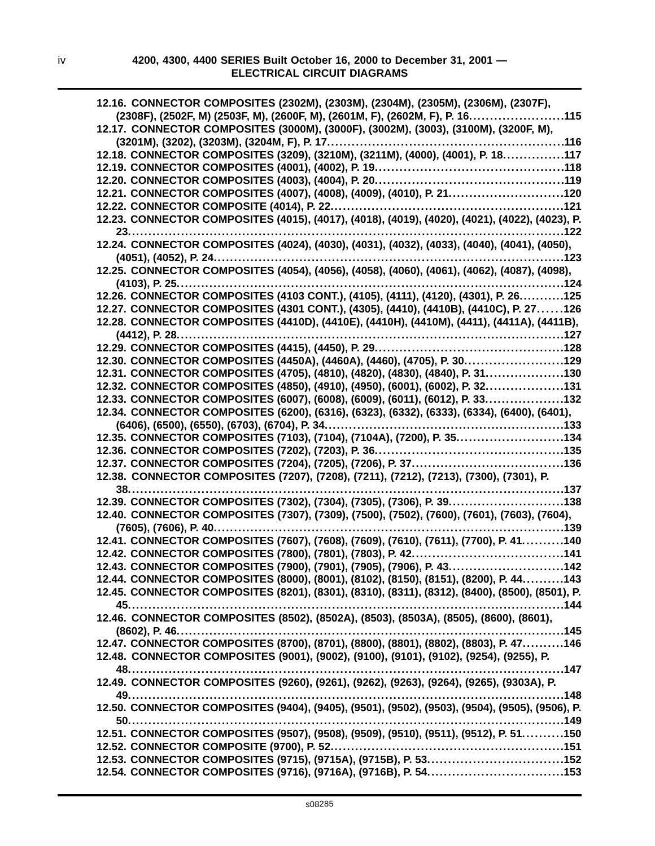| 12.16. CONNECTOR COMPOSITES (2302M), (2303M), (2304M), (2305M), (2306M), (2307F),              |
|------------------------------------------------------------------------------------------------|
| (2308F), (2502F, M) (2503F, M), (2600F, M), (2601M, F), (2602M, F), P. 16<br>.115              |
| 12.17. CONNECTOR COMPOSITES (3000M), (3000F), (3002M), (3003), (3100M), (3200F, M),            |
| . 116                                                                                          |
| 12.18. CONNECTOR COMPOSITES (3209), (3210M), (3211M), (4000), (4001), P. 18117                 |
|                                                                                                |
|                                                                                                |
| 12.21. CONNECTOR COMPOSITES (4007), (4008), (4009), (4010), P. 21120                           |
| 12.22. CONNECTOR COMPOSITE (4014), P. 22.<br>. 121                                             |
| 12.23. CONNECTOR COMPOSITES (4015), (4017), (4018), (4019), (4020), (4021), (4022), (4023), P. |
| 23.<br>.122                                                                                    |
| 12.24. CONNECTOR COMPOSITES (4024), (4030), (4031), (4032), (4033), (4040), (4041), (4050),    |
| (4051), (4052), P. 24.<br>123                                                                  |
| 12.25. CONNECTOR COMPOSITES (4054), (4056), (4058), (4060), (4061), (4062), (4087), (4098),    |
| $(4103)$ , P. 25<br>. 124                                                                      |
| 12.26. CONNECTOR COMPOSITES (4103 CONT.), (4105), (4111), (4120), (4301), P. 26125             |
| 12.27. CONNECTOR COMPOSITES (4301 CONT.), (4305), (4410), (4410B), (4410C), P. 27126           |
| 12.28. CONNECTOR COMPOSITES (4410D), (4410E), (4410H), (4410M), (4411), (4411A), (4411B),      |
| (4412), P. 28<br>.                                                                             |
|                                                                                                |
| 12.30. CONNECTOR COMPOSITES (4450A), (4460A), (4460), (4705), P. 30129                         |
| 12.31. CONNECTOR COMPOSITES (4705), (4810), (4820), (4830), (4840), P. 31130                   |
| 12.32. CONNECTOR COMPOSITES (4850), (4910), (4950), (6001), (6002), P. 32131                   |
| 12.33. CONNECTOR COMPOSITES (6007), (6008), (6009), (6011), (6012), P. 33132                   |
| 12.34. CONNECTOR COMPOSITES (6200), (6316), (6323), (6332), (6333), (6334), (6400), (6401),    |
| (6406), (6500), (6550), (6703), (6704), P. 34                                                  |
| 12.35. CONNECTOR COMPOSITES (7103), (7104), (7104A), (7200), P. 35134                          |
|                                                                                                |
|                                                                                                |
| 12.38. CONNECTOR COMPOSITES (7207), (7208), (7211), (7212), (7213), (7300), (7301), P.         |
| 38.<br>137                                                                                     |
| 12.39. CONNECTOR COMPOSITES (7302), (7304), (7305), (7306), P. 39<br>138                       |
| 12.40. CONNECTOR COMPOSITES (7307), (7309), (7500), (7502), (7600), (7601), (7603), (7604),    |
| (7605), (7606), P. 40<br>. 139<br>.                                                            |
| 12.41. CONNECTOR COMPOSITES (7607), (7608), (7609), (7610), (7611), (7700), P. 41140           |
| 12.42. CONNECTOR COMPOSITES (7800), (7801), (7803), P. 42.                                     |
| 12.43. CONNECTOR COMPOSITES (7900), (7901), (7905), (7906), P. 43142                           |
| 12.44. CONNECTOR COMPOSITES (8000), (8001), (8102), (8150), (8151), (8200), P. 44143           |
| 12.45. CONNECTOR COMPOSITES (8201), (8301), (8310), (8311), (8312), (8400), (8500), (8501), P. |
|                                                                                                |
| 12.46. CONNECTOR COMPOSITES (8502), (8502A), (8503), (8503A), (8505), (8600), (8601),          |
|                                                                                                |
|                                                                                                |
| 12.48. CONNECTOR COMPOSITES (9001), (9002), (9100), (9101), (9102), (9254), (9255), P.         |
|                                                                                                |
| 12.49. CONNECTOR COMPOSITES (9260), (9261), (9262), (9263), (9264), (9265), (9303A), P.        |
|                                                                                                |
| 12.50. CONNECTOR COMPOSITES (9404), (9405), (9501), (9502), (9503), (9504), (9505), (9506), P. |
|                                                                                                |
|                                                                                                |
|                                                                                                |
|                                                                                                |
| 12.54. CONNECTOR COMPOSITES (9716), (9716A), (9716B), P. 54153                                 |
|                                                                                                |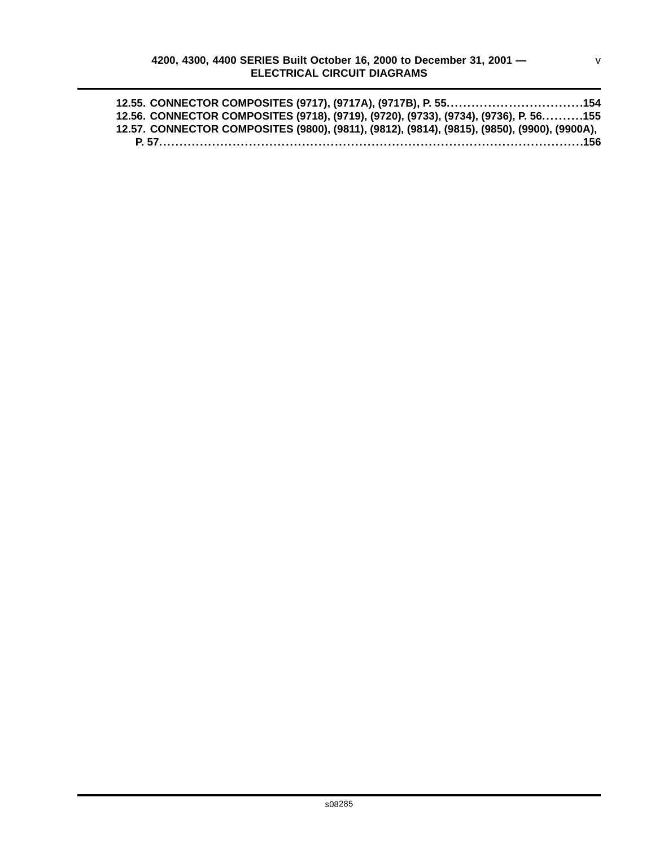| 12.55. CONNECTOR COMPOSITES (9717), (9717A), (9717B), P. 55154                               |  |
|----------------------------------------------------------------------------------------------|--|
| 12.56. CONNECTOR COMPOSITES (9718), (9719), (9720), (9733), (9734), (9736), P. 56155         |  |
| 12.57. CONNECTOR COMPOSITES (9800), (9811), (9812), (9814), (9815), (9850), (9900), (9900A), |  |
|                                                                                              |  |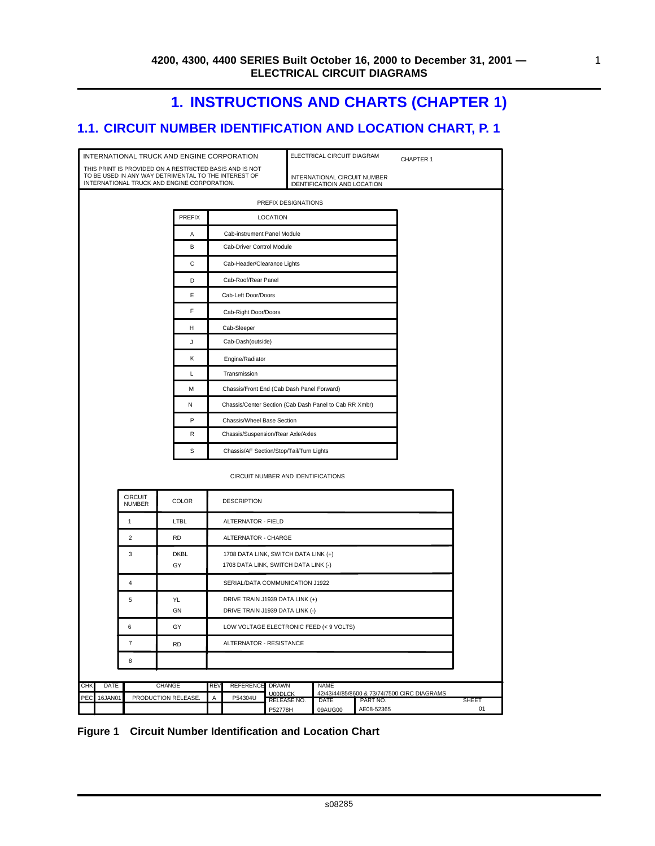# **1. INSTRUCTIONS AND CHARTS (CHAPTER 1)**

# <span id="page-8-0"></span>**1.1. CIRCUIT NUMBER IDENTIFICATION AND LOCATION CHART, P. 1**

|            |             |                                 | INTERNATIONAL TRUCK AND ENGINE CORPORATION                                                                                                                     |            |                                                                              | CHAPTER 1                      |                                                              |                        |                                             |             |  |  |
|------------|-------------|---------------------------------|----------------------------------------------------------------------------------------------------------------------------------------------------------------|------------|------------------------------------------------------------------------------|--------------------------------|--------------------------------------------------------------|------------------------|---------------------------------------------|-------------|--|--|
|            |             |                                 | THIS PRINT IS PROVIDED ON A RESTRICTED BASIS AND IS NOT<br>TO BE USED IN ANY WAY DETRIMENTAL TO THE INTEREST OF<br>INTERNATIONAL TRUCK AND ENGINE CORPORATION. |            |                                                                              |                                | INTERNATIONAL CIRCUIT NUMBER<br>IDENTIFICATIOIN AND LOCATION |                        |                                             |             |  |  |
|            |             |                                 |                                                                                                                                                                |            |                                                                              | PREFIX DESIGNATIONS            |                                                              |                        |                                             |             |  |  |
|            |             |                                 | <b>PREFIX</b>                                                                                                                                                  |            |                                                                              | <b>LOCATION</b>                |                                                              |                        |                                             |             |  |  |
|            |             |                                 | Α                                                                                                                                                              |            | Cab-instrument Panel Module                                                  |                                |                                                              |                        |                                             |             |  |  |
|            |             |                                 | В                                                                                                                                                              |            | Cab-Driver Control Module                                                    |                                |                                                              |                        |                                             |             |  |  |
|            |             |                                 | С                                                                                                                                                              |            | Cab-Header/Clearance Lights                                                  |                                |                                                              |                        |                                             |             |  |  |
|            |             |                                 | D                                                                                                                                                              |            | Cab-Roof/Rear Panel                                                          |                                |                                                              |                        |                                             |             |  |  |
|            |             |                                 | E                                                                                                                                                              |            | Cab-Left Door/Doors                                                          |                                |                                                              |                        |                                             |             |  |  |
|            |             |                                 | F                                                                                                                                                              |            | Cab-Right Door/Doors                                                         |                                |                                                              |                        |                                             |             |  |  |
|            |             |                                 | н                                                                                                                                                              |            | Cab-Sleeper                                                                  |                                |                                                              |                        |                                             |             |  |  |
|            |             |                                 | J                                                                                                                                                              |            | Cab-Dash(outside)                                                            |                                |                                                              |                        |                                             |             |  |  |
|            |             |                                 | Κ                                                                                                                                                              |            | Engine/Radiator                                                              |                                |                                                              |                        |                                             |             |  |  |
|            |             |                                 | L                                                                                                                                                              |            | Transmission                                                                 |                                |                                                              |                        |                                             |             |  |  |
|            |             |                                 | М                                                                                                                                                              |            | Chassis/Front End (Cab Dash Panel Forward)                                   |                                |                                                              |                        |                                             |             |  |  |
|            |             |                                 | Ν                                                                                                                                                              |            | Chassis/Center Section (Cab Dash Panel to Cab RR Xmbr)                       |                                |                                                              |                        |                                             |             |  |  |
|            |             |                                 | P                                                                                                                                                              |            | Chassis/Wheel Base Section                                                   |                                |                                                              |                        |                                             |             |  |  |
|            |             |                                 | R                                                                                                                                                              |            | Chassis/Suspension/Rear Axle/Axles                                           |                                |                                                              |                        |                                             |             |  |  |
|            |             |                                 | s                                                                                                                                                              |            | Chassis/AF Section/Stop/Tail/Turn Lights                                     |                                |                                                              |                        |                                             |             |  |  |
|            |             |                                 |                                                                                                                                                                |            |                                                                              |                                | CIRCUIT NUMBER AND IDENTIFICATIONS                           |                        |                                             |             |  |  |
|            |             | <b>CIRCUIT</b><br><b>NUMBER</b> | <b>COLOR</b>                                                                                                                                                   |            | <b>DESCRIPTION</b>                                                           |                                |                                                              |                        |                                             |             |  |  |
|            |             | $\mathbf{1}$                    | LTBL                                                                                                                                                           |            | ALTERNATOR - FIELD                                                           |                                |                                                              |                        |                                             |             |  |  |
|            |             | $\overline{2}$                  | <b>RD</b>                                                                                                                                                      |            | ALTERNATOR - CHARGE                                                          |                                |                                                              |                        |                                             |             |  |  |
|            |             | 3                               | <b>DKBL</b><br>GY                                                                                                                                              |            | 1708 DATA LINK, SWITCH DATA LINK (+)<br>1708 DATA LINK, SWITCH DATA LINK (-) |                                |                                                              |                        |                                             |             |  |  |
|            |             | 4                               |                                                                                                                                                                |            | SERIAL/DATA COMMUNICATION J1922                                              |                                |                                                              |                        |                                             |             |  |  |
|            |             | 5                               | YL<br>GN                                                                                                                                                       |            | DRIVE TRAIN J1939 DATA LINK (+)<br>DRIVE TRAIN J1939 DATA LINK (-)           |                                |                                                              |                        |                                             |             |  |  |
|            |             | 6                               | GY                                                                                                                                                             |            | LOW VOLTAGE ELECTRONIC FEED (< 9 VOLTS)                                      |                                |                                                              |                        |                                             |             |  |  |
|            |             | $\overline{7}$                  | <b>RD</b>                                                                                                                                                      |            | ALTERNATOR - RESISTANCE                                                      |                                |                                                              |                        |                                             |             |  |  |
|            |             | 8                               |                                                                                                                                                                |            |                                                                              |                                |                                                              |                        |                                             |             |  |  |
|            |             |                                 |                                                                                                                                                                |            |                                                                              |                                |                                                              |                        |                                             |             |  |  |
| <b>CHK</b> | <b>DATE</b> |                                 | CHANGE                                                                                                                                                         | <b>REV</b> | <b>REFERENCE</b>                                                             | <b>DRAWN</b><br><b>U00DLCK</b> | <b>NAME</b>                                                  |                        | 42/43/44/85/8600 & 73/74/7500 CIRC DIAGRAMS |             |  |  |
| PEC        | 16JAN01     |                                 | PRODUCTION RELEASE.                                                                                                                                            | A          | P54304U                                                                      | RELEASE NO.<br>P52778H         | DATE<br>09AUG00                                              | PART NO.<br>AE08-52365 |                                             | SHEET<br>01 |  |  |

**Figure 1 Circuit Number Identification and Location Chart**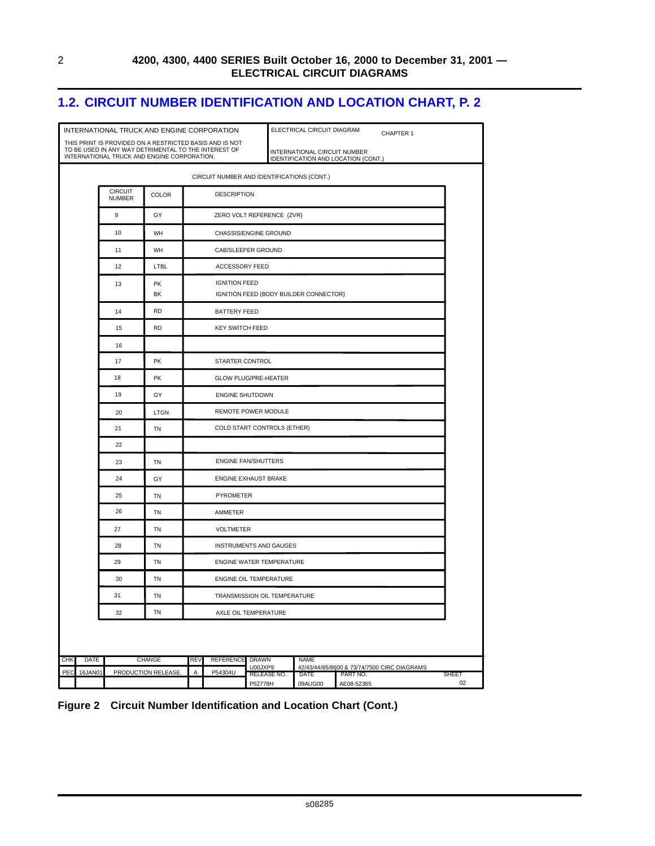### <span id="page-9-0"></span>**1.2. CIRCUIT NUMBER IDENTIFICATION AND LOCATION CHART, P. 2**

|            |         |                                 | INTERNATIONAL TRUCK AND ENGINE CORPORATION                                                                                                                     |                                                                |                                            | ELECTRICAL CIRCUIT DIAGRAM<br>CHAPTER 1 |                                                     |                                                                     |                        |  |                    |  |  |  |
|------------|---------|---------------------------------|----------------------------------------------------------------------------------------------------------------------------------------------------------------|----------------------------------------------------------------|--------------------------------------------|-----------------------------------------|-----------------------------------------------------|---------------------------------------------------------------------|------------------------|--|--------------------|--|--|--|
|            |         |                                 | THIS PRINT IS PROVIDED ON A RESTRICTED BASIS AND IS NOT<br>TO BE USED IN ANY WAY DETRIMENTAL TO THE INTEREST OF<br>INTERNATIONAL TRUCK AND ENGINE CORPORATION. |                                                                |                                            |                                         |                                                     | INTERNATIONAL CIRCUIT NUMBER<br>IDENTIFICATION AND LOCATION (CONT.) |                        |  |                    |  |  |  |
|            |         |                                 |                                                                                                                                                                |                                                                | CIRCUIT NUMBER AND IDENTIFICATIONS (CONT.) |                                         |                                                     |                                                                     |                        |  |                    |  |  |  |
|            |         | <b>CIRCUIT</b><br><b>NUMBER</b> | COLOR                                                                                                                                                          |                                                                | <b>DESCRIPTION</b>                         |                                         |                                                     |                                                                     |                        |  |                    |  |  |  |
|            |         | 9                               | GY                                                                                                                                                             |                                                                | ZERO VOLT REFERENCE (ZVR)                  |                                         |                                                     |                                                                     |                        |  |                    |  |  |  |
|            |         | 10                              | WH                                                                                                                                                             |                                                                | CHASSIS/ENGINE GROUND                      |                                         |                                                     |                                                                     |                        |  |                    |  |  |  |
|            |         | 11                              | WH                                                                                                                                                             |                                                                | CAB/SLEEPER GROUND                         |                                         |                                                     |                                                                     |                        |  |                    |  |  |  |
|            |         | 12                              | LTBL                                                                                                                                                           |                                                                | ACCESSORY FEED                             |                                         |                                                     |                                                                     |                        |  |                    |  |  |  |
|            |         | 13                              | <b>PK</b><br>BK                                                                                                                                                | <b>IGNITION FEED</b><br>IGNITION FEED (BODY BUILDER CONNECTOR) |                                            |                                         |                                                     |                                                                     |                        |  |                    |  |  |  |
|            |         | 14                              | <b>RD</b>                                                                                                                                                      |                                                                | BATTERY FEED                               |                                         |                                                     |                                                                     |                        |  |                    |  |  |  |
|            |         | 15                              | <b>RD</b>                                                                                                                                                      |                                                                | <b>KEY SWITCH FEED</b>                     |                                         |                                                     |                                                                     |                        |  |                    |  |  |  |
|            |         | 16                              |                                                                                                                                                                |                                                                |                                            |                                         |                                                     |                                                                     |                        |  |                    |  |  |  |
|            |         | 17                              | <b>PK</b>                                                                                                                                                      |                                                                | <b>STARTER CONTROL</b>                     |                                         |                                                     |                                                                     |                        |  |                    |  |  |  |
|            |         | 18                              | PK                                                                                                                                                             | <b>GLOW PLUG/PRE-HEATER</b>                                    |                                            |                                         |                                                     |                                                                     |                        |  |                    |  |  |  |
|            |         | 19                              | GY                                                                                                                                                             | <b>ENGINE SHUTDOWN</b>                                         |                                            |                                         |                                                     |                                                                     |                        |  |                    |  |  |  |
|            |         | 20                              | LTGN                                                                                                                                                           | REMOTE POWER MODULE                                            |                                            |                                         |                                                     |                                                                     |                        |  |                    |  |  |  |
|            |         | 21                              | TN                                                                                                                                                             | COLD START CONTROLS (ETHER)                                    |                                            |                                         |                                                     |                                                                     |                        |  |                    |  |  |  |
|            |         | 22                              |                                                                                                                                                                |                                                                |                                            |                                         |                                                     |                                                                     |                        |  |                    |  |  |  |
|            |         | 23                              | TN                                                                                                                                                             | <b>ENGINE FAN/SHUTTERS</b>                                     |                                            |                                         |                                                     |                                                                     |                        |  |                    |  |  |  |
|            |         | 24                              | GY                                                                                                                                                             |                                                                | ENGINE EXHAUST BRAKE                       |                                         |                                                     |                                                                     |                        |  |                    |  |  |  |
|            |         | 25                              | TN                                                                                                                                                             |                                                                | <b>PYROMETER</b>                           |                                         |                                                     |                                                                     |                        |  |                    |  |  |  |
|            |         | 26                              | TN                                                                                                                                                             |                                                                | AMMETER                                    |                                         |                                                     |                                                                     |                        |  |                    |  |  |  |
|            |         | 27                              | TN                                                                                                                                                             |                                                                | <b>VOLTMETER</b>                           |                                         |                                                     |                                                                     |                        |  |                    |  |  |  |
|            |         | 28                              | TN                                                                                                                                                             |                                                                | <b>INSTRUMENTS AND GAUGES</b>              |                                         |                                                     |                                                                     |                        |  |                    |  |  |  |
|            |         | 29                              | <b>TN</b>                                                                                                                                                      |                                                                | <b>ENGINE WATER TEMPERATURE</b>            |                                         |                                                     |                                                                     |                        |  |                    |  |  |  |
|            |         | 30                              | TN                                                                                                                                                             |                                                                | ENGINE OIL TEMPERATURE                     |                                         |                                                     |                                                                     |                        |  |                    |  |  |  |
|            |         | 31                              | TN                                                                                                                                                             |                                                                |                                            | TRANSMISSION OIL TEMPERATURE            |                                                     |                                                                     |                        |  |                    |  |  |  |
|            |         | 32                              | TN                                                                                                                                                             |                                                                |                                            | AXLE OIL TEMPERATURE                    |                                                     |                                                                     |                        |  |                    |  |  |  |
|            |         |                                 |                                                                                                                                                                |                                                                |                                            |                                         |                                                     |                                                                     |                        |  |                    |  |  |  |
| <b>CHK</b> | DATE    |                                 | CHANGE                                                                                                                                                         | REV                                                            | <b>REFERENCE</b>                           | DRAWN<br>U00JXP9                        | NAME<br>42/43/44/85/8600 & 73/74/7500 CIRC DIAGRAMS |                                                                     |                        |  |                    |  |  |  |
| PEC        | 16JAN01 |                                 | PRODUCTION RELEASE.                                                                                                                                            | Α                                                              | P54304U                                    | RELEASE NO.<br>P52778H                  |                                                     | DATE<br>09AUG00                                                     | PART NO.<br>AE08-52365 |  | <b>SHEET</b><br>02 |  |  |  |

**Figure 2 Circuit Number Identification and Location Chart (Cont.)**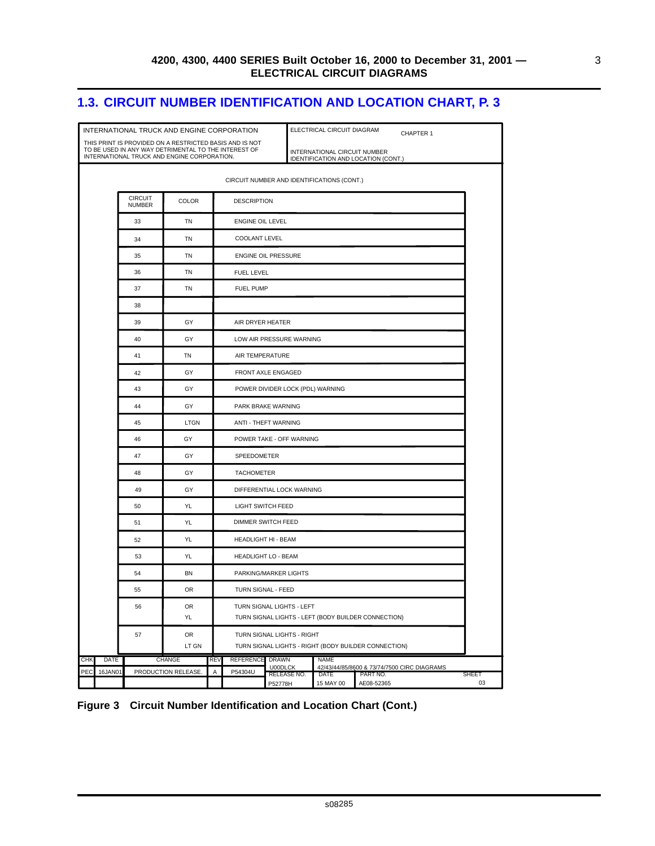### <span id="page-10-0"></span>**1.3. CIRCUIT NUMBER IDENTIFICATION AND LOCATION CHART, P. 3**

|     |             |                                 | INTERNATIONAL TRUCK AND ENGINE CORPORATION                                                                                                                     |            |                                  |                            | ELECTRICAL CIRCUIT DIAGRAM<br>CHAPTER 1                             |                                             |              |  |  |  |  |
|-----|-------------|---------------------------------|----------------------------------------------------------------------------------------------------------------------------------------------------------------|------------|----------------------------------|----------------------------|---------------------------------------------------------------------|---------------------------------------------|--------------|--|--|--|--|
|     |             |                                 | THIS PRINT IS PROVIDED ON A RESTRICTED BASIS AND IS NOT<br>TO BE USED IN ANY WAY DETRIMENTAL TO THE INTEREST OF<br>INTERNATIONAL TRUCK AND ENGINE CORPORATION. |            |                                  |                            | INTERNATIONAL CIRCUIT NUMBER<br>IDENTIFICATION AND LOCATION (CONT.) |                                             |              |  |  |  |  |
|     |             |                                 |                                                                                                                                                                |            |                                  |                            | CIRCUIT NUMBER AND IDENTIFICATIONS (CONT.)                          |                                             |              |  |  |  |  |
|     |             | <b>CIRCUIT</b><br><b>NUMBER</b> | <b>COLOR</b>                                                                                                                                                   |            | <b>DESCRIPTION</b>               |                            |                                                                     |                                             |              |  |  |  |  |
|     |             | 33                              | TN                                                                                                                                                             |            | ENGINE OIL LEVEL                 |                            |                                                                     |                                             |              |  |  |  |  |
|     |             | 34                              | TN                                                                                                                                                             |            | <b>COOLANT LEVEL</b>             |                            |                                                                     |                                             |              |  |  |  |  |
|     |             | 35                              | TN<br><b>ENGINE OIL PRESSURE</b>                                                                                                                               |            |                                  |                            |                                                                     |                                             |              |  |  |  |  |
|     |             | 36                              | <b>TN</b>                                                                                                                                                      |            | <b>FUEL LEVEL</b>                |                            |                                                                     |                                             |              |  |  |  |  |
|     |             | 37                              | TN                                                                                                                                                             |            | <b>FUEL PUMP</b>                 |                            |                                                                     |                                             |              |  |  |  |  |
|     |             | 38                              |                                                                                                                                                                |            |                                  |                            |                                                                     |                                             |              |  |  |  |  |
|     |             | 39                              | GY                                                                                                                                                             |            | AIR DRYER HEATER                 |                            |                                                                     |                                             |              |  |  |  |  |
|     |             | 40                              | GY                                                                                                                                                             |            |                                  | LOW AIR PRESSURE WARNING   |                                                                     |                                             |              |  |  |  |  |
|     |             | 41                              | TN                                                                                                                                                             |            | AIR TEMPERATURE                  |                            |                                                                     |                                             |              |  |  |  |  |
|     |             | 42                              | GY                                                                                                                                                             |            | FRONT AXLE ENGAGED               |                            |                                                                     |                                             |              |  |  |  |  |
|     |             | 43                              | GY                                                                                                                                                             |            | POWER DIVIDER LOCK (PDL) WARNING |                            |                                                                     |                                             |              |  |  |  |  |
|     |             | 44                              | GY                                                                                                                                                             |            | PARK BRAKE WARNING               |                            |                                                                     |                                             |              |  |  |  |  |
|     |             | 45                              | <b>LTGN</b>                                                                                                                                                    |            |                                  | ANTI - THEFT WARNING       |                                                                     |                                             |              |  |  |  |  |
|     |             | 46                              | GY                                                                                                                                                             |            |                                  | POWER TAKE - OFF WARNING   |                                                                     |                                             |              |  |  |  |  |
|     |             | 47                              | GY                                                                                                                                                             |            | SPEEDOMETER                      |                            |                                                                     |                                             |              |  |  |  |  |
|     |             | 48                              | GY                                                                                                                                                             |            | <b>TACHOMETER</b>                |                            |                                                                     |                                             |              |  |  |  |  |
|     |             | 49                              | GY                                                                                                                                                             |            |                                  | DIFFERENTIAL LOCK WARNING  |                                                                     |                                             |              |  |  |  |  |
|     |             | 50                              | YL                                                                                                                                                             |            | <b>LIGHT SWITCH FEED</b>         |                            |                                                                     |                                             |              |  |  |  |  |
|     |             | 51                              | <b>YL</b>                                                                                                                                                      |            |                                  | DIMMER SWITCH FEED         |                                                                     |                                             |              |  |  |  |  |
|     |             | 52                              | YL                                                                                                                                                             |            |                                  | <b>HEADLIGHT HI - BEAM</b> |                                                                     |                                             |              |  |  |  |  |
|     |             | 53                              | YL                                                                                                                                                             |            |                                  | <b>HEADLIGHT LO - BEAM</b> |                                                                     |                                             |              |  |  |  |  |
|     |             | 54                              | <b>BN</b>                                                                                                                                                      |            |                                  | PARKING/MARKER LIGHTS      |                                                                     |                                             |              |  |  |  |  |
|     |             | 55                              | <b>OR</b>                                                                                                                                                      |            | TURN SIGNAL - FEED               |                            |                                                                     |                                             |              |  |  |  |  |
|     |             | 56                              | OR                                                                                                                                                             |            |                                  | TURN SIGNAL LIGHTS - LEFT  |                                                                     |                                             |              |  |  |  |  |
|     |             |                                 | YL                                                                                                                                                             |            |                                  |                            | TURN SIGNAL LIGHTS - LEFT (BODY BUILDER CONNECTION)                 |                                             |              |  |  |  |  |
|     |             | 57                              | OR<br>LT GN                                                                                                                                                    |            |                                  | TURN SIGNAL LIGHTS - RIGHT | TURN SIGNAL LIGHTS - RIGHT (BODY BUILDER CONNECTION)                |                                             |              |  |  |  |  |
| CHK | <b>DATE</b> |                                 | CHANGE                                                                                                                                                         | <b>REV</b> | <b>REFERENCE</b>                 | DRAWN                      | <b>NAME</b>                                                         |                                             |              |  |  |  |  |
| PEC | 16JAN01     |                                 | PRODUCTION RELEASE.                                                                                                                                            | Α          | P54304U                          | U00DLCK<br>RELEASE NO.     | <b>DATE</b><br>PART NO.                                             | 42/43/44/85/8600 & 73/74/7500 CIRC DIAGRAMS | <b>SHEET</b> |  |  |  |  |
|     |             |                                 |                                                                                                                                                                |            |                                  | P52778H                    | 15 MAY 00                                                           | AE08-52365                                  | 03           |  |  |  |  |

**Figure 3 Circuit Number Identification and Location Chart (Cont.)**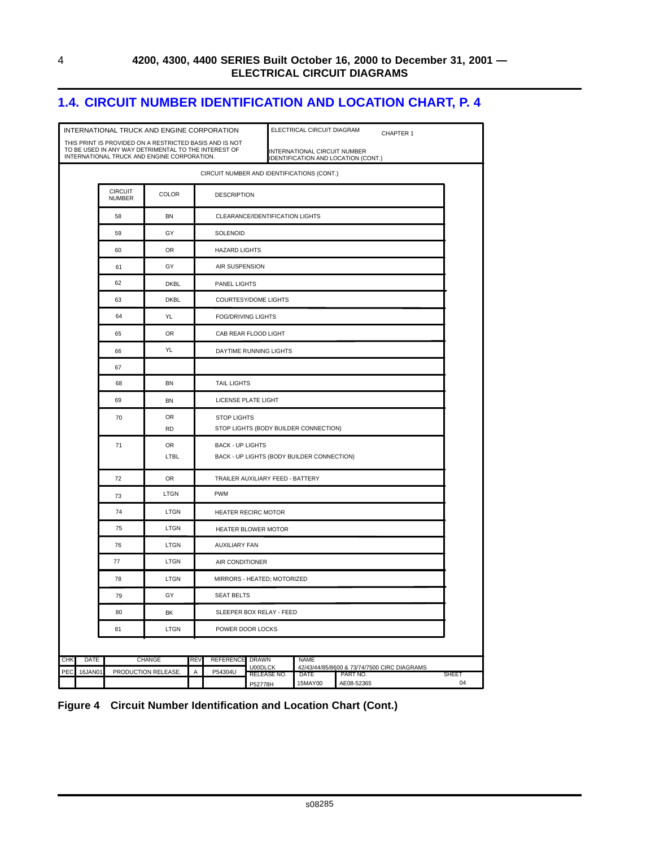### <span id="page-11-0"></span>**1.4. CIRCUIT NUMBER IDENTIFICATION AND LOCATION CHART, P. 4**

|                | INTERNATIONAL TRUCK AND ENGINE CORPORATION                                                                                                                     |                    |                                |                                                                       |                          | ELECTRICAL CIRCUIT DIAGRAM                                          |                        | CHAPTER 1                                   |             |  |  |  |
|----------------|----------------------------------------------------------------------------------------------------------------------------------------------------------------|--------------------|--------------------------------|-----------------------------------------------------------------------|--------------------------|---------------------------------------------------------------------|------------------------|---------------------------------------------|-------------|--|--|--|
|                | THIS PRINT IS PROVIDED ON A RESTRICTED BASIS AND IS NOT<br>TO BE USED IN ANY WAY DETRIMENTAL TO THE INTEREST OF<br>INTERNATIONAL TRUCK AND ENGINE CORPORATION. |                    |                                |                                                                       |                          | INTERNATIONAL CIRCUIT NUMBER<br>IDENTIFICATION AND LOCATION (CONT.) |                        |                                             |             |  |  |  |
|                |                                                                                                                                                                |                    |                                |                                                                       |                          | CIRCUIT NUMBER AND IDENTIFICATIONS (CONT.)                          |                        |                                             |             |  |  |  |
|                | <b>CIRCUIT</b><br><b>NUMBER</b>                                                                                                                                | <b>COLOR</b>       |                                | <b>DESCRIPTION</b>                                                    |                          |                                                                     |                        |                                             |             |  |  |  |
|                | 58                                                                                                                                                             | <b>BN</b>          |                                | CLEARANCE/IDENTIFICATION LIGHTS                                       |                          |                                                                     |                        |                                             |             |  |  |  |
|                | 59                                                                                                                                                             | GY                 |                                | SOLENOID                                                              |                          |                                                                     |                        |                                             |             |  |  |  |
|                | 60                                                                                                                                                             | 0R                 |                                | <b>HAZARD LIGHTS</b>                                                  |                          |                                                                     |                        |                                             |             |  |  |  |
|                | 61                                                                                                                                                             | GY                 |                                | AIR SUSPENSION                                                        |                          |                                                                     |                        |                                             |             |  |  |  |
|                | 62                                                                                                                                                             | <b>DKBL</b>        |                                | PANEL LIGHTS                                                          |                          |                                                                     |                        |                                             |             |  |  |  |
|                | 63                                                                                                                                                             | <b>DKBL</b>        |                                | <b>COURTESY/DOME LIGHTS</b>                                           |                          |                                                                     |                        |                                             |             |  |  |  |
|                | 64                                                                                                                                                             | YL                 |                                | <b>FOG/DRIVING LIGHTS</b>                                             |                          |                                                                     |                        |                                             |             |  |  |  |
|                | 65                                                                                                                                                             | <b>OR</b>          |                                | CAB REAR FLOOD LIGHT                                                  |                          |                                                                     |                        |                                             |             |  |  |  |
|                | 66                                                                                                                                                             | YL                 |                                | DAYTIME RUNNING LIGHTS                                                |                          |                                                                     |                        |                                             |             |  |  |  |
|                | 67                                                                                                                                                             |                    |                                |                                                                       |                          |                                                                     |                        |                                             |             |  |  |  |
|                | 68                                                                                                                                                             | <b>BN</b>          |                                | <b>TAIL LIGHTS</b>                                                    |                          |                                                                     |                        |                                             |             |  |  |  |
|                | 69                                                                                                                                                             | <b>BN</b>          |                                | LICENSE PLATE LIGHT                                                   |                          |                                                                     |                        |                                             |             |  |  |  |
|                | 70                                                                                                                                                             | 0R<br><b>RD</b>    |                                | <b>STOP LIGHTS</b><br>STOP LIGHTS (BODY BUILDER CONNECTION)           |                          |                                                                     |                        |                                             |             |  |  |  |
|                | 71                                                                                                                                                             | OR<br>LTBL         |                                | <b>BACK - UP LIGHTS</b><br>BACK - UP LIGHTS (BODY BUILDER CONNECTION) |                          |                                                                     |                        |                                             |             |  |  |  |
|                | 72                                                                                                                                                             | <b>OR</b>          |                                | TRAILER AUXILIARY FEED - BATTERY                                      |                          |                                                                     |                        |                                             |             |  |  |  |
|                | 73                                                                                                                                                             | LTGN               | <b>PWM</b>                     |                                                                       |                          |                                                                     |                        |                                             |             |  |  |  |
|                | 74                                                                                                                                                             | <b>LTGN</b>        |                                | <b>HEATER RECIRC MOTOR</b>                                            |                          |                                                                     |                        |                                             |             |  |  |  |
|                | 75                                                                                                                                                             | LTGN               |                                | HEATER BLOWER MOTOR                                                   |                          |                                                                     |                        |                                             |             |  |  |  |
|                | 76                                                                                                                                                             | LTGN               |                                | <b>AUXILIARY FAN</b>                                                  |                          |                                                                     |                        |                                             |             |  |  |  |
|                | 77                                                                                                                                                             | LTGN               |                                | AIR CONDITIONER                                                       |                          |                                                                     |                        |                                             |             |  |  |  |
|                | 78                                                                                                                                                             | LTGN               |                                | MIRRORS - HEATED; MOTORIZED                                           |                          |                                                                     |                        |                                             |             |  |  |  |
|                | 79                                                                                                                                                             | GY                 |                                | <b>SEAT BELTS</b>                                                     |                          |                                                                     |                        |                                             |             |  |  |  |
|                | 80                                                                                                                                                             | BK                 |                                |                                                                       | SLEEPER BOX RELAY - FEED |                                                                     |                        |                                             |             |  |  |  |
|                | 81                                                                                                                                                             | LTGN               |                                | POWER DOOR LOCKS                                                      |                          |                                                                     |                        |                                             |             |  |  |  |
|                |                                                                                                                                                                |                    |                                |                                                                       |                          |                                                                     |                        |                                             |             |  |  |  |
| CHK<br>DATE    |                                                                                                                                                                | <b>CHANGE</b>      | <b>REV</b><br><b>REFERENCE</b> | <b>DRAWN</b>                                                          | U00DLCK                  | <b>NAME</b>                                                         |                        | 42/43/44/85/8600 & 73/74/7500 CIRC DIAGRAMS |             |  |  |  |
| 16JAN01<br>PEC |                                                                                                                                                                | PRODUCTION RELEASE | P54304U<br>Α                   |                                                                       | RELEASE NO.<br>P52778H   | DATE<br>15MAY00                                                     | PART NO.<br>AE08-52365 |                                             | SHEET<br>04 |  |  |  |

#### **Figure 4 Circuit Number Identification and Location Chart (Cont.)**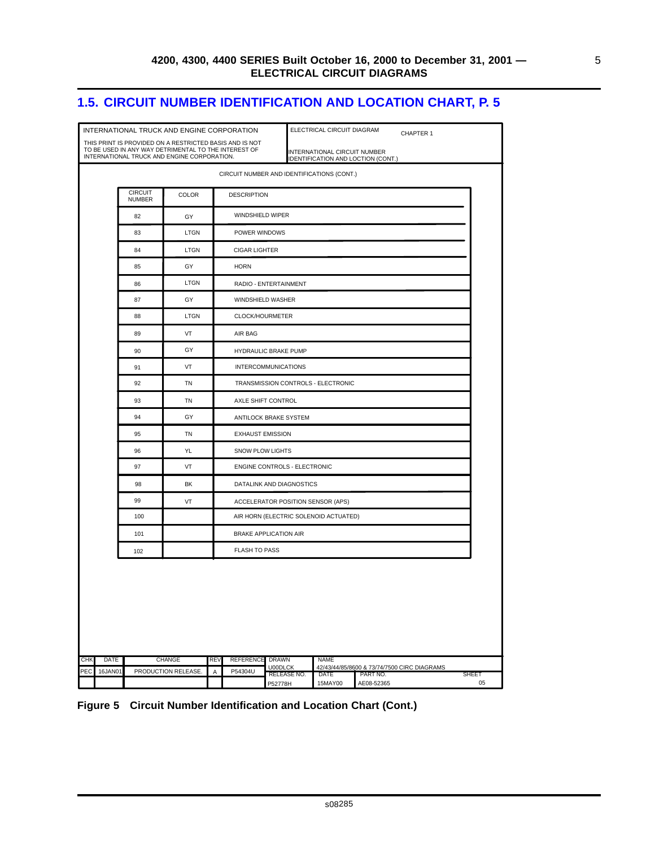5

### <span id="page-12-0"></span>**1.5. CIRCUIT NUMBER IDENTIFICATION AND LOCATION CHART, P. 5**

|            |             |                                 | INTERNATIONAL TRUCK AND ENGINE CORPORATION<br>THIS PRINT IS PROVIDED ON A RESTRICTED BASIS AND IS NOT<br>TO BE USED IN ANY WAY DETRIMENTAL TO THE INTEREST OF<br>INTERNATIONAL TRUCK AND ENGINE CORPORATION. |     |                                    |                                            | ELECTRICAL CIRCUIT DIAGRAM<br>INTERNATIONAL CIRCUIT NUMBER<br>IDENTIFICATION AND LOCTION (CONT.) |          | CHAPTER 1                                   |       |  |  |  |
|------------|-------------|---------------------------------|--------------------------------------------------------------------------------------------------------------------------------------------------------------------------------------------------------------|-----|------------------------------------|--------------------------------------------|--------------------------------------------------------------------------------------------------|----------|---------------------------------------------|-------|--|--|--|
|            |             |                                 |                                                                                                                                                                                                              |     |                                    | CIRCUIT NUMBER AND IDENTIFICATIONS (CONT.) |                                                                                                  |          |                                             |       |  |  |  |
|            |             | <b>CIRCUIT</b><br><b>NUMBER</b> | COLOR                                                                                                                                                                                                        |     | <b>DESCRIPTION</b>                 |                                            |                                                                                                  |          |                                             |       |  |  |  |
|            |             | 82                              | GY                                                                                                                                                                                                           |     | WINDSHIELD WIPER                   |                                            |                                                                                                  |          |                                             |       |  |  |  |
|            |             | 83                              | LTGN                                                                                                                                                                                                         |     | POWER WINDOWS                      |                                            |                                                                                                  |          |                                             |       |  |  |  |
|            |             | 84                              | LTGN                                                                                                                                                                                                         |     | <b>CIGAR LIGHTER</b>               |                                            |                                                                                                  |          |                                             |       |  |  |  |
|            |             | 85                              | GY                                                                                                                                                                                                           |     | <b>HORN</b>                        |                                            |                                                                                                  |          |                                             |       |  |  |  |
|            |             | 86                              | LTGN                                                                                                                                                                                                         |     | RADIO - ENTERTAINMENT              |                                            |                                                                                                  |          |                                             |       |  |  |  |
|            |             | 87                              | GY                                                                                                                                                                                                           |     | WINDSHIELD WASHER                  |                                            |                                                                                                  |          |                                             |       |  |  |  |
|            |             | 88                              | LTGN                                                                                                                                                                                                         |     | CLOCK/HOURMETER                    |                                            |                                                                                                  |          |                                             |       |  |  |  |
|            |             | 89                              | VT                                                                                                                                                                                                           |     | AIR BAG                            |                                            |                                                                                                  |          |                                             |       |  |  |  |
|            |             | 90                              | GY                                                                                                                                                                                                           |     | HYDRAULIC BRAKE PUMP               |                                            |                                                                                                  |          |                                             |       |  |  |  |
|            |             | 91                              | <b>VT</b>                                                                                                                                                                                                    |     | <b>INTERCOMMUNICATIONS</b>         |                                            |                                                                                                  |          |                                             |       |  |  |  |
|            |             | 92                              | TN                                                                                                                                                                                                           |     | TRANSMISSION CONTROLS - ELECTRONIC |                                            |                                                                                                  |          |                                             |       |  |  |  |
|            |             | 93                              | TN                                                                                                                                                                                                           |     | AXLE SHIFT CONTROL                 |                                            |                                                                                                  |          |                                             |       |  |  |  |
|            |             | 94                              | GY                                                                                                                                                                                                           |     | ANTILOCK BRAKE SYSTEM              |                                            |                                                                                                  |          |                                             |       |  |  |  |
|            |             | 95                              | TN                                                                                                                                                                                                           |     | <b>EXHAUST EMISSION</b>            |                                            |                                                                                                  |          |                                             |       |  |  |  |
|            |             | 96                              | YL                                                                                                                                                                                                           |     | SNOW PLOW LIGHTS                   |                                            |                                                                                                  |          |                                             |       |  |  |  |
|            |             | 97                              | VT                                                                                                                                                                                                           |     |                                    | ENGINE CONTROLS - ELECTRONIC               |                                                                                                  |          |                                             |       |  |  |  |
|            |             | 98                              | BK                                                                                                                                                                                                           |     | DATALINK AND DIAGNOSTICS           |                                            |                                                                                                  |          |                                             |       |  |  |  |
|            |             | 99                              | VT                                                                                                                                                                                                           |     |                                    | ACCELERATOR POSITION SENSOR (APS)          |                                                                                                  |          |                                             |       |  |  |  |
|            |             | 100                             |                                                                                                                                                                                                              |     |                                    | AIR HORN (ELECTRIC SOLENOID ACTUATED)      |                                                                                                  |          |                                             |       |  |  |  |
|            |             | 101                             |                                                                                                                                                                                                              |     |                                    | BRAKE APPLICATION AIR                      |                                                                                                  |          |                                             |       |  |  |  |
|            |             | 102                             |                                                                                                                                                                                                              |     | <b>FLASH TO PASS</b>               |                                            |                                                                                                  |          |                                             |       |  |  |  |
|            |             |                                 |                                                                                                                                                                                                              |     |                                    |                                            |                                                                                                  |          |                                             |       |  |  |  |
| <b>CHK</b> | <b>DATE</b> |                                 | <b>CHANGE</b>                                                                                                                                                                                                | REV | <b>REFERENCE</b>                   | <b>DRAWN</b><br><b>NAME</b>                |                                                                                                  |          |                                             |       |  |  |  |
| PEC        | 16JAN01     |                                 | PRODUCTION RELEASE.                                                                                                                                                                                          | Α   | P54304U                            | U00DLCK<br>RELEASE NO.                     | DATE                                                                                             | PART NO. | 42/43/44/85/8600 & 73/74/7500 CIRC DIAGRAMS | SHEET |  |  |  |

#### **Figure 5 Circuit Number Identification and Location Chart (Cont.)**

s08285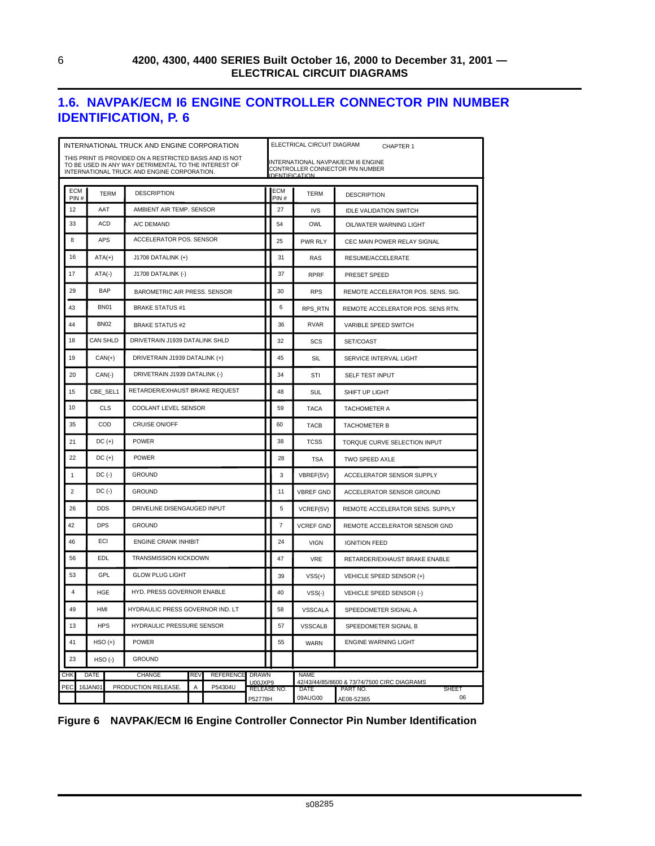### <span id="page-13-0"></span>**1.6. NAVPAK/ECM I6 ENGINE CONTROLLER CONNECTOR PIN NUMBER IDENTIFICATION, P. 6**

|                | INTERNATIONAL TRUCK AND ENGINE CORPORATION |                    |                                         |                                                                                                                                                                |            |                  |                               |    |                | ELECTRICAL CIRCUIT DIAGRAM  | CHAPTER 1                                                               |
|----------------|--------------------------------------------|--------------------|-----------------------------------------|----------------------------------------------------------------------------------------------------------------------------------------------------------------|------------|------------------|-------------------------------|----|----------------|-----------------------------|-------------------------------------------------------------------------|
|                |                                            |                    |                                         | THIS PRINT IS PROVIDED ON A RESTRICTED BASIS AND IS NOT<br>TO BE USED IN ANY WAY DETRIMENTAL TO THE INTEREST OF<br>INTERNATIONAL TRUCK AND ENGINE CORPORATION. |            |                  |                               |    |                | <b>IDENTIFICATION</b>       | INTERNATIONAL NAVPAK/ECM I6 ENGINE<br>CONTROLLER CONNECTOR PIN NUMBER   |
|                | ECM<br>PIN#                                |                    | <b>TERM</b>                             | <b>DESCRIPTION</b>                                                                                                                                             |            |                  |                               |    | ECM<br>PIN#    | TERM                        | <b>DESCRIPTION</b>                                                      |
| 12             |                                            | AAT                |                                         | AMBIENT AIR TEMP, SENSOR                                                                                                                                       |            |                  |                               |    | 27             | <b>IVS</b>                  | <b>IDLE VALIDATION SWITCH</b>                                           |
| 33             |                                            | ACD                |                                         | A/C DEMAND                                                                                                                                                     |            |                  |                               |    | 54             | OWL                         | OIL/WATER WARNING LIGHT                                                 |
| 8              |                                            | <b>APS</b>         |                                         | ACCELERATOR POS. SENSOR                                                                                                                                        |            |                  |                               |    | 25             | <b>PWR RLY</b>              | CEC MAIN POWER RELAY SIGNAL                                             |
| 16             |                                            | $ATA(+)$           |                                         | J1708 DATALINK (+)                                                                                                                                             |            |                  |                               |    | 31             | RAS                         | RESUME/ACCELERATE                                                       |
| 17             |                                            | $ATA(-)$           |                                         | J1708 DATALINK (-)                                                                                                                                             |            |                  |                               |    | 37             | <b>RPRF</b>                 | PRESET SPEED                                                            |
| 29             |                                            | BAP                |                                         | BAROMETRIC AIR PRESS. SENSOR                                                                                                                                   |            |                  |                               |    | 30             | <b>RPS</b>                  | REMOTE ACCELERATOR POS. SENS. SIG.                                      |
| 43             |                                            | <b>BN01</b>        |                                         | <b>BRAKE STATUS #1</b>                                                                                                                                         |            |                  |                               |    | 6              | <b>RPS RTN</b>              | REMOTE ACCELERATOR POS. SENS RTN.                                       |
| 44             |                                            | <b>BN02</b>        |                                         | <b>BRAKE STATUS #2</b>                                                                                                                                         |            |                  |                               |    | 36             | <b>RVAR</b>                 | VARIBLE SPEED SWITCH                                                    |
| 18             |                                            | CAN SHLD           |                                         | DRIVETRAIN J1939 DATALINK SHLD                                                                                                                                 |            |                  |                               |    | 32             | SCS                         | SET/COAST                                                               |
| 19             |                                            | $CAN(+)$           |                                         | DRIVETRAIN J1939 DATALINK (+)                                                                                                                                  |            |                  |                               |    | 45             | SIL                         | SERVICE INTERVAL LIGHT                                                  |
| 20             |                                            | $CAN(-)$           |                                         | DRIVETRAIN J1939 DATALINK (-)                                                                                                                                  |            |                  |                               |    | 34             | STI                         | <b>SELF TEST INPUT</b>                                                  |
| 15             |                                            | CBE_SEL1           |                                         | RETARDER/EXHAUST BRAKE REQUEST                                                                                                                                 |            |                  |                               |    | 48             | SUL                         | SHIFT UP LIGHT                                                          |
| 10             |                                            |                    | CLS                                     | COOLANT LEVEL SENSOR                                                                                                                                           |            |                  |                               |    | 59             | <b>TACA</b>                 | <b>TACHOMETER A</b>                                                     |
| 35             |                                            | COD                |                                         | <b>CRUISE ON/OFF</b>                                                                                                                                           |            |                  |                               |    | 60             | <b>TACB</b>                 | <b>TACHOMETER B</b>                                                     |
| 21             |                                            | $DC (+)$           |                                         | <b>POWER</b>                                                                                                                                                   |            |                  |                               |    | 38             | <b>TCSS</b>                 | TORQUE CURVE SELECTION INPUT                                            |
| 22             |                                            | $DC (+)$           |                                         | <b>POWER</b>                                                                                                                                                   |            |                  |                               |    | 28             | <b>TSA</b>                  | TWO SPEED AXLE                                                          |
| $\mathbf{1}$   |                                            | $DC$ (-)           |                                         | <b>GROUND</b>                                                                                                                                                  |            |                  |                               |    | 3              | ACCELERATOR SENSOR SUPPLY   |                                                                         |
| $\overline{c}$ |                                            | $DC$ (-)           |                                         | <b>GROUND</b>                                                                                                                                                  |            |                  |                               |    | 11             | <b>VBREF GND</b>            | ACCELERATOR SENSOR GROUND                                               |
| 26             |                                            | <b>DDS</b>         |                                         | DRIVELINE DISENGAUGED INPUT                                                                                                                                    |            |                  |                               |    | 5              | VCREF(5V)                   | REMOTE ACCELERATOR SENS. SUPPLY                                         |
| 42             |                                            | <b>DPS</b>         |                                         | <b>GROUND</b>                                                                                                                                                  |            |                  |                               |    | $\overline{7}$ | <b>VCREF GND</b>            | REMOTE ACCELERATOR SENSOR GND                                           |
| 46             |                                            | ECI                |                                         | <b>ENGINE CRANK INHIBIT</b>                                                                                                                                    |            |                  |                               |    | 24             | <b>VIGN</b>                 | <b>IGNITION FEED</b>                                                    |
| 56             |                                            | EDL                |                                         | <b>TRANSMISSION KICKDOWN</b>                                                                                                                                   |            |                  |                               |    | 47             | <b>VRE</b>                  | RETARDER/EXHAUST BRAKE ENABLE                                           |
| 53             |                                            | GPL                |                                         | <b>GLOW PLUG LIGHT</b>                                                                                                                                         |            |                  |                               |    | 39             | $VSS(+)$                    | VEHICLE SPEED SENSOR (+)                                                |
| $\overline{4}$ |                                            | HGE                |                                         | HYD. PRESS GOVERNOR ENABLE                                                                                                                                     |            |                  |                               |    | 40             | $VSS(-)$                    | VEHICLE SPEED SENSOR (-)                                                |
| 49             |                                            | <b>HMI</b>         |                                         | HYDRAULIC PRESS GOVERNOR IND. LT                                                                                                                               |            |                  |                               |    |                | <b>VSSCALA</b>              | SPEEDOMETER SIGNAL A                                                    |
| 13             |                                            |                    | <b>HPS</b><br>HYDRAULIC PRESSURE SENSOR |                                                                                                                                                                |            |                  |                               |    | 57             | <b>VSSCALB</b>              | SPEEDOMETER SIGNAL B                                                    |
| 41             |                                            | $HSO (+)$<br>POWER |                                         |                                                                                                                                                                |            |                  |                               | 55 | WARN           | <b>ENGINE WARNING LIGHT</b> |                                                                         |
| 23             |                                            | $HSO(-)$           |                                         | <b>GROUND</b>                                                                                                                                                  |            |                  |                               |    |                |                             |                                                                         |
| <b>CHK</b>     |                                            | <b>DATE</b>        |                                         | CHANGE                                                                                                                                                         | <b>REV</b> | <b>REFERENCE</b> | <b>DRAWN</b>                  |    |                | <b>NAME</b>                 |                                                                         |
| PEC            |                                            | 16JAN01            |                                         | PRODUCTION RELEASE.                                                                                                                                            | А          | P54304U          | U00JXP9<br><b>RELEASE NO.</b> |    |                | DATE                        | 42/43/44/85/8600 & 73/74/7500 CIRC DIAGRAMS<br>PART NO.<br><b>SHEET</b> |
|                |                                            |                    |                                         |                                                                                                                                                                |            |                  | P52778H                       |    |                | 09AUG00                     | 06<br>AE08-52365                                                        |

#### **Figure 6 NAVPAK/ECM I6 Engine Controller Connector Pin Number Identification**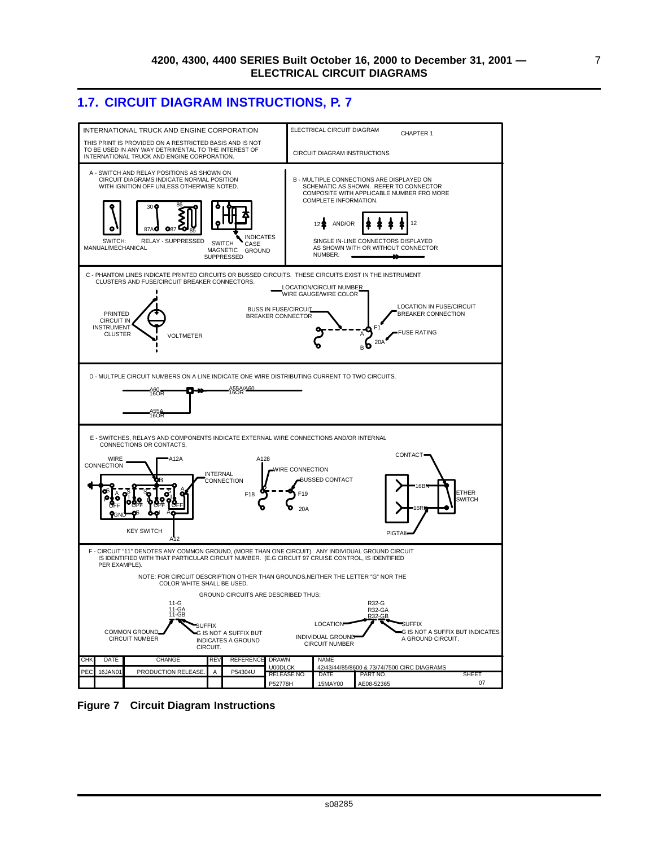### <span id="page-14-0"></span>**1.7. CIRCUIT DIAGRAM INSTRUCTIONS, P. 7**



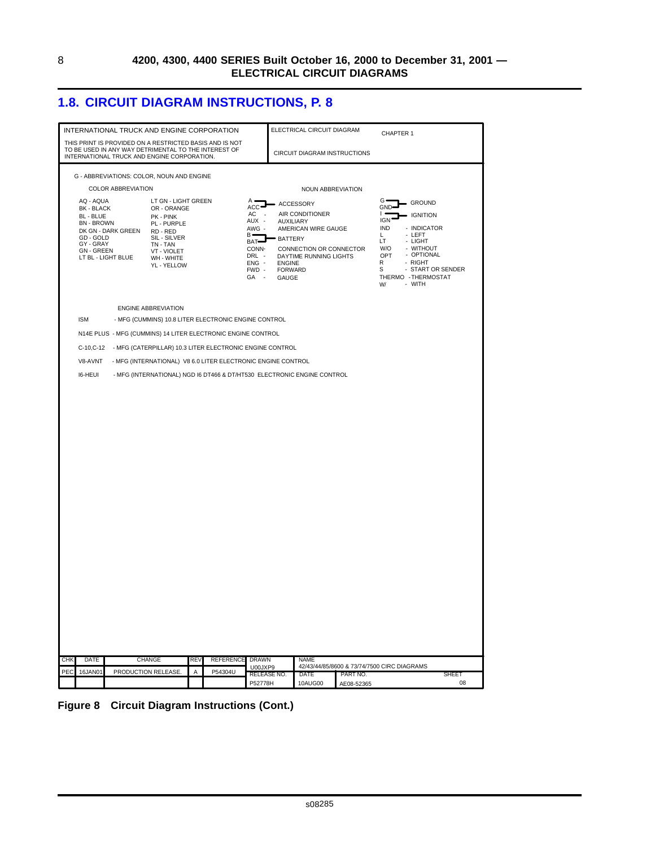### <span id="page-15-0"></span>**1.8. CIRCUIT DIAGRAM INSTRUCTIONS, P. 8**

|     |                                       | INTERNATIONAL TRUCK AND ENGINE CORPORATION                                                                                         |                            |     |                                                              |                         |                                 | ELECTRICAL CIRCUIT DIAGRAM                                              |                        |                                             |                    |
|-----|---------------------------------------|------------------------------------------------------------------------------------------------------------------------------------|----------------------------|-----|--------------------------------------------------------------|-------------------------|---------------------------------|-------------------------------------------------------------------------|------------------------|---------------------------------------------|--------------------|
|     |                                       | THIS PRINT IS PROVIDED ON A RESTRICTED BASIS AND IS NOT                                                                            |                            |     |                                                              |                         |                                 |                                                                         |                        | CHAPTER 1                                   |                    |
|     |                                       | TO BE USED IN ANY WAY DETRIMENTAL TO THE INTEREST OF<br>INTERNATIONAL TRUCK AND ENGINE CORPORATION.                                |                            |     |                                                              |                         |                                 | <b>CIRCUIT DIAGRAM INSTRUCTIONS</b>                                     |                        |                                             |                    |
|     |                                       | G - ABBREVIATIONS: COLOR, NOUN AND ENGINE                                                                                          |                            |     |                                                              |                         |                                 |                                                                         |                        |                                             |                    |
|     |                                       | <b>COLOR ABBREVIATION</b>                                                                                                          |                            |     |                                                              |                         |                                 | NOUN ABBREVIATION                                                       |                        |                                             |                    |
|     | AQ - AQUA                             |                                                                                                                                    | LT GN - LIGHT GREEN        |     |                                                              | A<br>$ACC-$             |                                 | - ACCESSORY                                                             |                        | G<br>GROUND<br>GND                          |                    |
|     | BK - BLACK<br>BL - BLUE               |                                                                                                                                    | OR - ORANGE<br>PK - PINK   |     |                                                              | AC<br>AUX -             |                                 | AIR CONDITIONER                                                         |                        | <b>IGNITION</b><br><b>IGN</b>               |                    |
|     | <b>BN - BROWN</b>                     | DK GN - DARK GREEN                                                                                                                 | PL - PURPLE<br>RD - RED    |     |                                                              | AWG -<br>$B -$          | <b>AUXILIARY</b>                | AMERICAN WIRE GAUGE                                                     |                        | <b>IND</b><br>- INDICATOR<br>- LEFT<br>L.   |                    |
|     | GD - GOLD<br>GY - GRAY                |                                                                                                                                    | SIL - SILVER<br>TN - TAN   |     |                                                              | <b>BAT</b><br>CONN-     | <b>BATTERY</b>                  |                                                                         |                        | LT<br>- LIGHT<br>W/O<br>- WITHOUT           |                    |
|     | <b>GN-GREEN</b><br>LT BL - LIGHT BLUE |                                                                                                                                    | VT - VIOLET<br>WH - WHITE  |     |                                                              | DRL -<br>$ENG -$        |                                 | CONNECTION OR CONNECTOR<br>DAYTIME RUNNING LIGHTS                       |                        | OPT<br>- OPTIONAL<br>R<br>- RIGHT           |                    |
|     |                                       |                                                                                                                                    | YL - YELLOW                |     |                                                              | FWD -                   | <b>ENGINE</b><br><b>FORWARD</b> |                                                                         |                        | s<br>THERMO - THERMOSTAT                    | - START OR SENDER  |
|     |                                       |                                                                                                                                    |                            |     |                                                              | GA -                    | GAUGE                           |                                                                         |                        | - WITH<br>W/                                |                    |
|     |                                       |                                                                                                                                    |                            |     |                                                              |                         |                                 |                                                                         |                        |                                             |                    |
|     |                                       |                                                                                                                                    | <b>ENGINE ABBREVIATION</b> |     |                                                              |                         |                                 |                                                                         |                        |                                             |                    |
|     | <b>ISM</b>                            |                                                                                                                                    |                            |     | - MFG (CUMMINS) 10.8 LITER ELECTRONIC ENGINE CONTROL         |                         |                                 |                                                                         |                        |                                             |                    |
|     |                                       | N14E PLUS - MFG (CUMMINS) 14 LITER ELECTRONIC ENGINE CONTROL<br>C-10,C-12 - MFG (CATERPILLAR) 10.3 LITER ELECTRONIC ENGINE CONTROL |                            |     |                                                              |                         |                                 |                                                                         |                        |                                             |                    |
|     | V8-AVNT                               |                                                                                                                                    |                            |     | - MFG (INTERNATIONAL) V8 6.0 LITER ELECTRONIC ENGINE CONTROL |                         |                                 |                                                                         |                        |                                             |                    |
|     | <b>I6-HEUI</b>                        |                                                                                                                                    |                            |     |                                                              |                         |                                 | - MFG (INTERNATIONAL) NGD I6 DT466 & DT/HT530 ELECTRONIC ENGINE CONTROL |                        |                                             |                    |
|     |                                       |                                                                                                                                    |                            |     |                                                              |                         |                                 |                                                                         |                        |                                             |                    |
|     |                                       |                                                                                                                                    |                            |     |                                                              |                         |                                 |                                                                         |                        |                                             |                    |
|     |                                       |                                                                                                                                    |                            |     |                                                              |                         |                                 |                                                                         |                        |                                             |                    |
|     |                                       |                                                                                                                                    |                            |     |                                                              |                         |                                 |                                                                         |                        |                                             |                    |
|     |                                       |                                                                                                                                    |                            |     |                                                              |                         |                                 |                                                                         |                        |                                             |                    |
|     |                                       |                                                                                                                                    |                            |     |                                                              |                         |                                 |                                                                         |                        |                                             |                    |
|     |                                       |                                                                                                                                    |                            |     |                                                              |                         |                                 |                                                                         |                        |                                             |                    |
|     |                                       |                                                                                                                                    |                            |     |                                                              |                         |                                 |                                                                         |                        |                                             |                    |
|     |                                       |                                                                                                                                    |                            |     |                                                              |                         |                                 |                                                                         |                        |                                             |                    |
|     |                                       |                                                                                                                                    |                            |     |                                                              |                         |                                 |                                                                         |                        |                                             |                    |
|     |                                       |                                                                                                                                    |                            |     |                                                              |                         |                                 |                                                                         |                        |                                             |                    |
|     |                                       |                                                                                                                                    |                            |     |                                                              |                         |                                 |                                                                         |                        |                                             |                    |
|     |                                       |                                                                                                                                    |                            |     |                                                              |                         |                                 |                                                                         |                        |                                             |                    |
|     |                                       |                                                                                                                                    |                            |     |                                                              |                         |                                 |                                                                         |                        |                                             |                    |
|     |                                       |                                                                                                                                    |                            |     |                                                              |                         |                                 |                                                                         |                        |                                             |                    |
|     |                                       |                                                                                                                                    |                            |     |                                                              |                         |                                 |                                                                         |                        |                                             |                    |
|     |                                       |                                                                                                                                    |                            |     |                                                              |                         |                                 |                                                                         |                        |                                             |                    |
|     |                                       |                                                                                                                                    |                            |     |                                                              |                         |                                 |                                                                         |                        |                                             |                    |
|     |                                       |                                                                                                                                    |                            |     |                                                              |                         |                                 |                                                                         |                        |                                             |                    |
|     |                                       |                                                                                                                                    |                            |     |                                                              |                         |                                 |                                                                         |                        |                                             |                    |
| CHK | DATE                                  | CHANGE                                                                                                                             |                            | REV | <b>REFERENCE</b>                                             | <b>DRAWN</b><br>U00JXP9 |                                 | <b>NAME</b>                                                             |                        | 42/43/44/85/8600 & 73/74/7500 CIRC DIAGRAMS |                    |
| PEC | 16JAN01                               | PRODUCTION RELEASE                                                                                                                 |                            | Α   | P54304U                                                      | RELEASE NO.<br>P52778H  |                                 | DATE<br>10AUG00                                                         | PART NO.<br>AE08-52365 |                                             | <b>SHEET</b><br>08 |

**Figure 8 Circuit Diagram Instructions (Cont.)**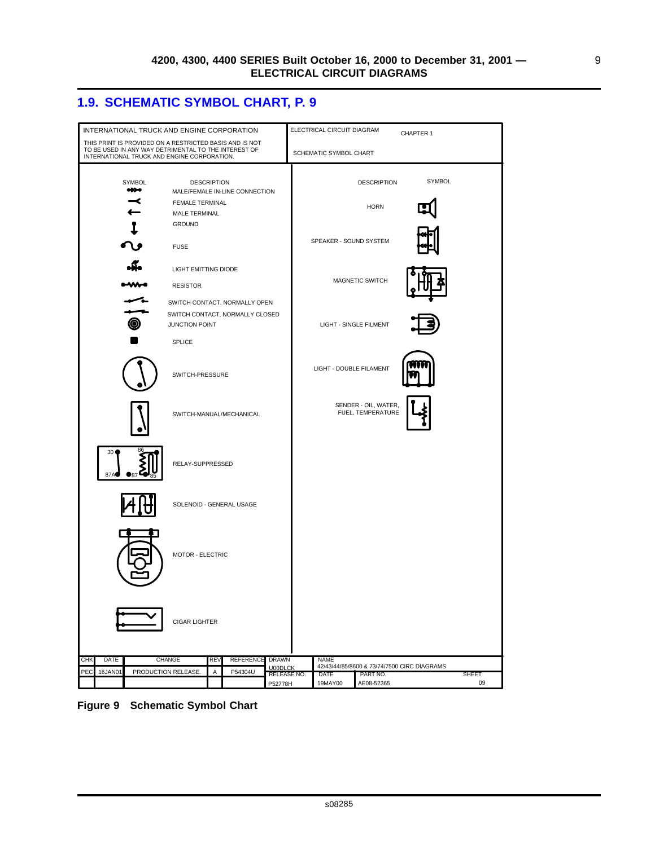### <span id="page-16-0"></span>**1.9. SCHEMATIC SYMBOL CHART, P. 9**



**Figure 9 Schematic Symbol Chart**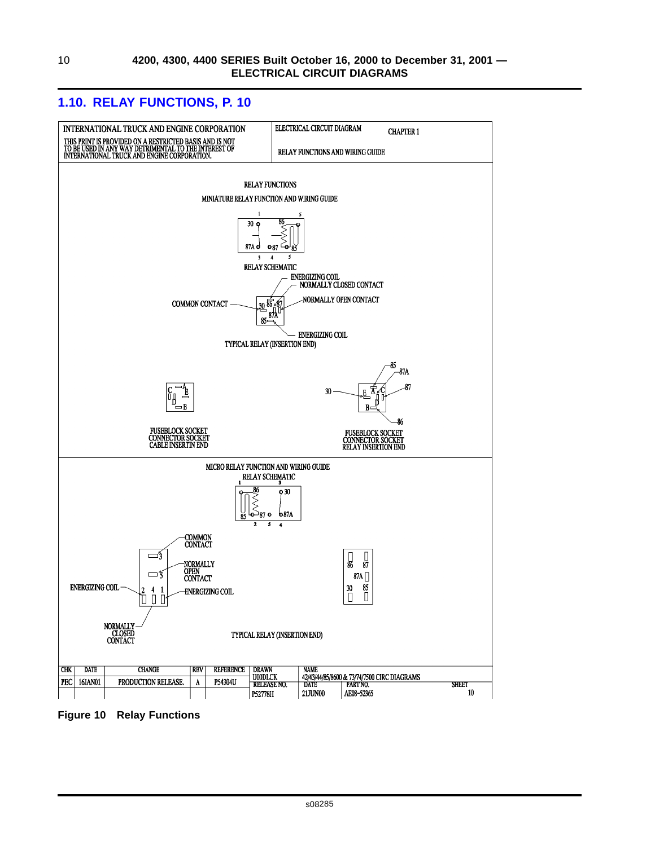<span id="page-17-0"></span>

**Figure 10 Relay Functions**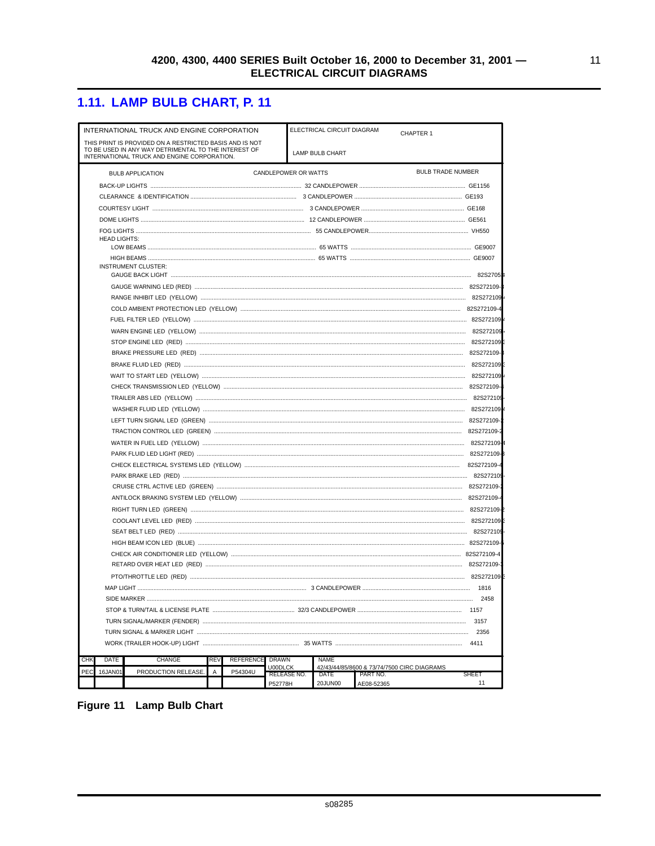### <span id="page-18-0"></span>1.11. LAMP BULB CHART, P. 11

| CHAPTER 1<br>THIS PRINT IS PROVIDED ON A RESTRICTED BASIS AND IS NOT<br>TO BE USED IN ANY WAY DETRIMENTAL TO THE INTEREST OF<br><b>LAMP BULB CHART</b><br>INTERNATIONAL TRUCK AND ENGINE CORPORATION.<br><b>BULB TRADE NUMBER</b><br>CANDLEPOWER OR WATTS<br><b>BULB APPLICATION</b><br><b>HEAD LIGHTS:</b><br><b>INSTRUMENT CLUSTER:</b> |  |  |  |  |  |  |  |  |
|-------------------------------------------------------------------------------------------------------------------------------------------------------------------------------------------------------------------------------------------------------------------------------------------------------------------------------------------|--|--|--|--|--|--|--|--|
|                                                                                                                                                                                                                                                                                                                                           |  |  |  |  |  |  |  |  |
|                                                                                                                                                                                                                                                                                                                                           |  |  |  |  |  |  |  |  |
|                                                                                                                                                                                                                                                                                                                                           |  |  |  |  |  |  |  |  |
|                                                                                                                                                                                                                                                                                                                                           |  |  |  |  |  |  |  |  |
|                                                                                                                                                                                                                                                                                                                                           |  |  |  |  |  |  |  |  |
|                                                                                                                                                                                                                                                                                                                                           |  |  |  |  |  |  |  |  |
|                                                                                                                                                                                                                                                                                                                                           |  |  |  |  |  |  |  |  |
|                                                                                                                                                                                                                                                                                                                                           |  |  |  |  |  |  |  |  |
|                                                                                                                                                                                                                                                                                                                                           |  |  |  |  |  |  |  |  |
|                                                                                                                                                                                                                                                                                                                                           |  |  |  |  |  |  |  |  |
|                                                                                                                                                                                                                                                                                                                                           |  |  |  |  |  |  |  |  |
|                                                                                                                                                                                                                                                                                                                                           |  |  |  |  |  |  |  |  |
|                                                                                                                                                                                                                                                                                                                                           |  |  |  |  |  |  |  |  |
|                                                                                                                                                                                                                                                                                                                                           |  |  |  |  |  |  |  |  |
|                                                                                                                                                                                                                                                                                                                                           |  |  |  |  |  |  |  |  |
|                                                                                                                                                                                                                                                                                                                                           |  |  |  |  |  |  |  |  |
|                                                                                                                                                                                                                                                                                                                                           |  |  |  |  |  |  |  |  |
|                                                                                                                                                                                                                                                                                                                                           |  |  |  |  |  |  |  |  |
|                                                                                                                                                                                                                                                                                                                                           |  |  |  |  |  |  |  |  |
|                                                                                                                                                                                                                                                                                                                                           |  |  |  |  |  |  |  |  |
|                                                                                                                                                                                                                                                                                                                                           |  |  |  |  |  |  |  |  |
|                                                                                                                                                                                                                                                                                                                                           |  |  |  |  |  |  |  |  |
|                                                                                                                                                                                                                                                                                                                                           |  |  |  |  |  |  |  |  |
|                                                                                                                                                                                                                                                                                                                                           |  |  |  |  |  |  |  |  |
|                                                                                                                                                                                                                                                                                                                                           |  |  |  |  |  |  |  |  |
|                                                                                                                                                                                                                                                                                                                                           |  |  |  |  |  |  |  |  |
|                                                                                                                                                                                                                                                                                                                                           |  |  |  |  |  |  |  |  |
|                                                                                                                                                                                                                                                                                                                                           |  |  |  |  |  |  |  |  |
|                                                                                                                                                                                                                                                                                                                                           |  |  |  |  |  |  |  |  |
|                                                                                                                                                                                                                                                                                                                                           |  |  |  |  |  |  |  |  |
|                                                                                                                                                                                                                                                                                                                                           |  |  |  |  |  |  |  |  |
|                                                                                                                                                                                                                                                                                                                                           |  |  |  |  |  |  |  |  |
|                                                                                                                                                                                                                                                                                                                                           |  |  |  |  |  |  |  |  |
|                                                                                                                                                                                                                                                                                                                                           |  |  |  |  |  |  |  |  |
|                                                                                                                                                                                                                                                                                                                                           |  |  |  |  |  |  |  |  |
|                                                                                                                                                                                                                                                                                                                                           |  |  |  |  |  |  |  |  |
|                                                                                                                                                                                                                                                                                                                                           |  |  |  |  |  |  |  |  |
|                                                                                                                                                                                                                                                                                                                                           |  |  |  |  |  |  |  |  |
|                                                                                                                                                                                                                                                                                                                                           |  |  |  |  |  |  |  |  |
| 2356<br>4411                                                                                                                                                                                                                                                                                                                              |  |  |  |  |  |  |  |  |
| <b>REFERENCE</b><br>CHK<br><b>DATE</b><br><b>CHANGE</b><br><b>REV</b><br><b>DRAWN</b><br><b>NAME</b>                                                                                                                                                                                                                                      |  |  |  |  |  |  |  |  |
| <b>U00DLCK</b><br>42/43/44/85/8600 & 73/74/7500 CIRC DIAGRAMS<br>P54304U<br>PEC<br>16JAN01<br>PRODUCTION RELEASE.<br>Α                                                                                                                                                                                                                    |  |  |  |  |  |  |  |  |
| RELEASE NO.<br><b>SHEET</b><br>DATE<br>PART NO.<br>20JUN00<br>11<br>P52778H<br>AE08-52365                                                                                                                                                                                                                                                 |  |  |  |  |  |  |  |  |

Figure 11 Lamp Bulb Chart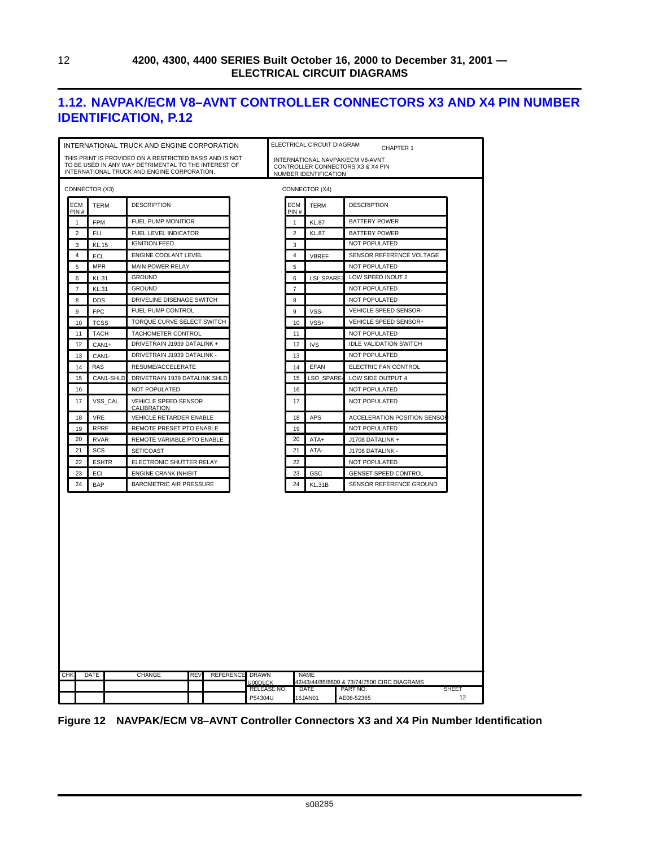### <span id="page-19-0"></span>**1.12. NAVPAK/ECM V8–AVNT CONTROLLER CONNECTORS X3 AND X4 PIN NUMBER IDENTIFICATION, P.12**

|                                  |              | INTERNATIONAL TRUCK AND ENGINE CORPORATION              |                        |  |                | ELECTRICAL CIRCUIT DIAGRAM | CHAPTER 1                                              |  |  |  |  |  |
|----------------------------------|--------------|---------------------------------------------------------|------------------------|--|----------------|----------------------------|--------------------------------------------------------|--|--|--|--|--|
|                                  |              | THIS PRINT IS PROVIDED ON A RESTRICTED BASIS AND IS NOT |                        |  |                |                            | INTERNATIONAL NAVPAK/ECM V8-AVNT                       |  |  |  |  |  |
|                                  |              | TO BE USED IN ANY WAY DETRIMENTAL TO THE INTEREST OF    |                        |  |                |                            | CONTROLLER CONNECTORS X3 & X4 PIN                      |  |  |  |  |  |
|                                  |              | INTERNATIONAL TRUCK AND ENGINE CORPORATION.             |                        |  |                | NUMBER IDENTIFICATION      |                                                        |  |  |  |  |  |
| CONNECTOR (X3)<br>CONNECTOR (X4) |              |                                                         |                        |  |                |                            |                                                        |  |  |  |  |  |
| ECM<br>PIN#                      | <b>TERM</b>  | <b>DESCRIPTION</b>                                      |                        |  | ECM<br>PIN#    | <b>TERM</b>                | <b>DESCRIPTION</b>                                     |  |  |  |  |  |
| 1                                | <b>FPM</b>   | FUEL PUMP MONITIOR                                      |                        |  | 1              | <b>KL.87</b>               | <b>BATTERY POWER</b>                                   |  |  |  |  |  |
| $\overline{2}$                   | FLI          | FUEL LEVEL INDICATOR                                    |                        |  | $\overline{2}$ | <b>KL.87</b>               | <b>BATTERY POWER</b>                                   |  |  |  |  |  |
| 3                                | <b>KL.15</b> | <b>IGNITION FEED</b>                                    |                        |  | 3              |                            | NOT POPULATED                                          |  |  |  |  |  |
| 4                                | ECL          | ENGINE COOLANT LEVEL                                    |                        |  | 4              | VBREF                      | SENSOR REFERENCE VOLTAGE                               |  |  |  |  |  |
| 5                                | <b>MPR</b>   | <b>MAIN POWER RELAY</b>                                 |                        |  | 5              |                            | NOT POPULATED                                          |  |  |  |  |  |
| 6                                | <b>KL.31</b> | <b>GROUND</b>                                           |                        |  | 6              | LSI_SPARE2                 | LOW SPEED INOUT 2                                      |  |  |  |  |  |
| $\overline{7}$                   | <b>KL.31</b> | <b>GROUND</b>                                           |                        |  | $\overline{7}$ |                            | <b>NOT POPULATED</b>                                   |  |  |  |  |  |
| 8                                | <b>DDS</b>   | DRIVELINE DISENAGE SWITCH                               |                        |  | 8              |                            | NOT POPULATED                                          |  |  |  |  |  |
| 9                                | <b>FPC</b>   | FUEL PUMP CONTROL                                       |                        |  | 9              | VSS-                       | VEHICLE SPEED SENSOR-                                  |  |  |  |  |  |
| 10                               | <b>TCSS</b>  | TORQUE CURVE SELECT SWITCH                              |                        |  | 10             | VSS+                       | VEHICLE SPEED SENSOR+                                  |  |  |  |  |  |
| 11                               | <b>TACH</b>  | TACHOMETER CONTROL                                      |                        |  | 11             |                            | NOT POPULATED                                          |  |  |  |  |  |
| 12                               | CAN1+        | DRIVETRAIN J1939 DATALINK +                             |                        |  | 12             | <b>IVS</b>                 | <b>IDLE VALIDATION SWITCH</b>                          |  |  |  |  |  |
| 13                               | CAN1-        | DRIVETRAIN J1939 DATALINK -                             |                        |  | 13             |                            | <b>NOT POPULATED</b>                                   |  |  |  |  |  |
| 14                               | RAS          | RESUME/ACCELERATE                                       |                        |  | 14             | <b>EFAN</b>                | ELECTRIC FAN CONTROL                                   |  |  |  |  |  |
| 15                               | CAN1-SHLD    | DRIVETRAIN 1939 DATALINK SHLD                           |                        |  | 15             | LSO SPARE                  | LOW SIDE OUTPUT 4                                      |  |  |  |  |  |
| 16                               |              | <b>NOT POPULATED</b>                                    |                        |  | 16             |                            | NOT POPULATED                                          |  |  |  |  |  |
| 17                               | VSS CAL      | VEHICLE SPEED SENSOR<br>CALIBRATION                     |                        |  | 17             |                            | NOT POPULATED                                          |  |  |  |  |  |
| 18                               | <b>VRE</b>   | VEHICLE RETARDER ENABLE                                 |                        |  | 18             | <b>APS</b>                 | ACCELERATION POSITION SENSO                            |  |  |  |  |  |
| 19                               | <b>RPRE</b>  | REMOTE PRESET PTO ENABLE                                |                        |  | 19             |                            | <b>NOT POPULATED</b>                                   |  |  |  |  |  |
| 20                               | <b>RVAR</b>  | REMOTE VARIABLE PTO ENABLE                              |                        |  | 20             | ATA+                       | J1708 DATALINK +                                       |  |  |  |  |  |
| 21                               | SCS          | SET/COAST                                               |                        |  | 21             | ATA-                       | J1708 DATALINK -                                       |  |  |  |  |  |
| 22                               | <b>ESHTR</b> | ELECTRONIC SHUTTER RELAY                                |                        |  | 22             |                            | NOT POPULATED                                          |  |  |  |  |  |
| 23                               | ECI          | ENGINE CRANK INHIBIT                                    |                        |  | 23             | GSC                        |                                                        |  |  |  |  |  |
| 24                               | <b>BAP</b>   | BAROMETRIC AIR PRESSURE                                 |                        |  | 24             | KL.31B                     | <b>GENSET SPEED CONTROL</b><br>SENSOR REFERENCE GROUND |  |  |  |  |  |
|                                  |              |                                                         |                        |  |                |                            |                                                        |  |  |  |  |  |
|                                  |              |                                                         |                        |  |                |                            |                                                        |  |  |  |  |  |
| <b>CHK</b>                       | <b>DATE</b>  | <b>CHANGE</b><br><b>REV</b><br><b>REFERENCE</b>         | <b>DRAWN</b>           |  |                | <b>NAME</b>                |                                                        |  |  |  |  |  |
|                                  |              |                                                         | U00DLCK                |  |                |                            | 42/43/44/85/8600 & 73/74/7500 CIRC DIAGRAMS            |  |  |  |  |  |
|                                  |              |                                                         | RELEASE NO.<br>P54304U |  |                | DATE<br>16JAN01            | SHEET<br>PART NO.<br>12<br>AE08-52365                  |  |  |  |  |  |

|  | Figure 12 NAVPAK/ECM V8-AVNT Controller Connectors X3 and X4 Pin Number Identification |  |  |  |  |  |  |  |
|--|----------------------------------------------------------------------------------------|--|--|--|--|--|--|--|
|--|----------------------------------------------------------------------------------------|--|--|--|--|--|--|--|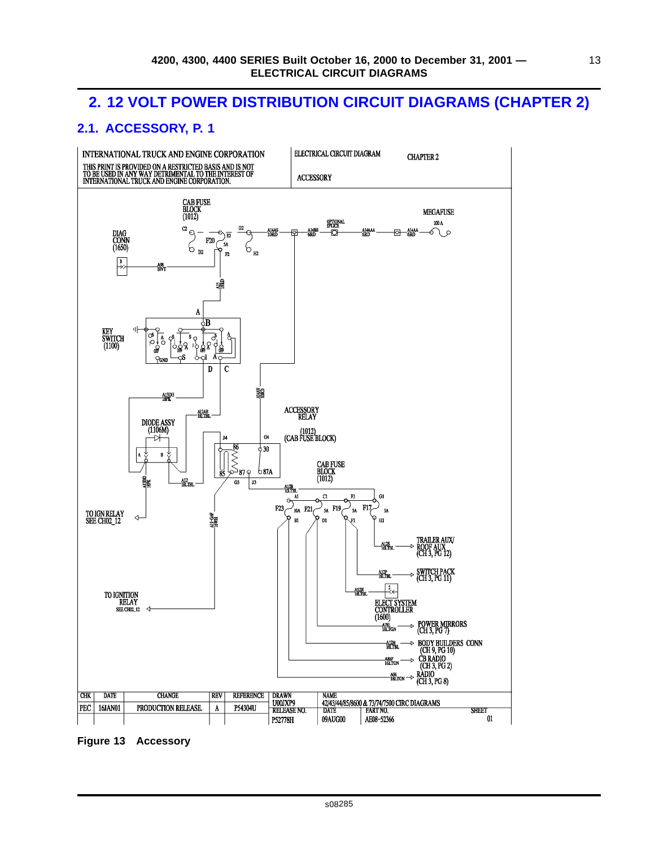### <span id="page-20-0"></span>**2. 12 VOLT POWER DISTRIBUTION CIRCUIT DIAGRAMS (CHAPTER 2)**

### **2.1. ACCESSORY, P. 1**



**Figure 13 Accessory**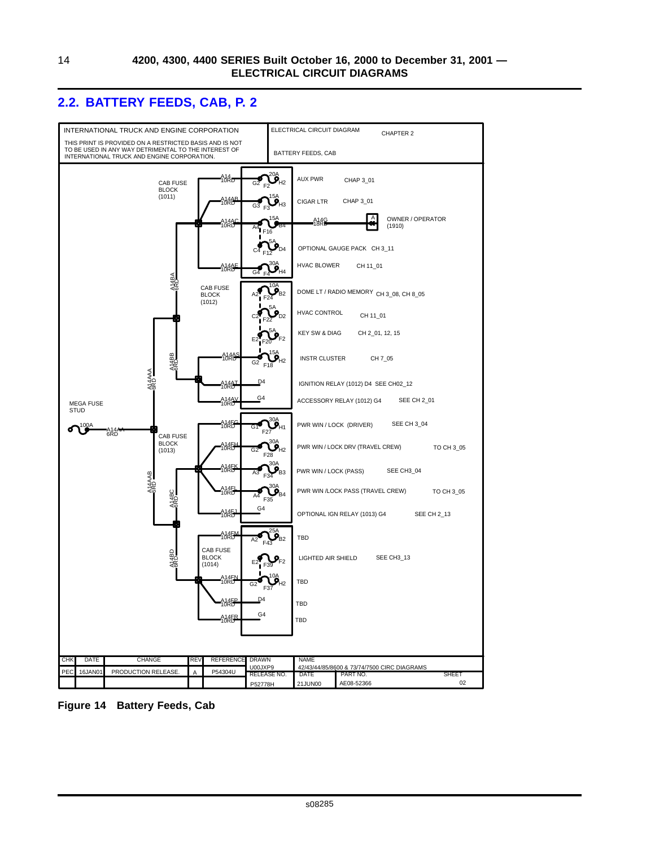### <span id="page-21-0"></span>**2.2. BATTERY FEEDS, CAB, P. 2**



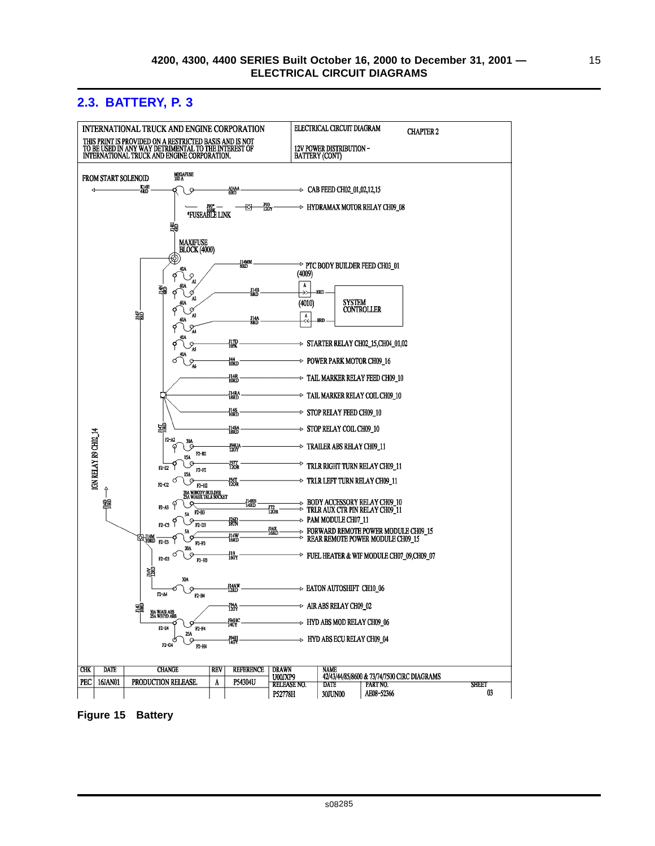### <span id="page-22-0"></span>**2.3. BATTERY, P. 3**



**Figure 15 Battery**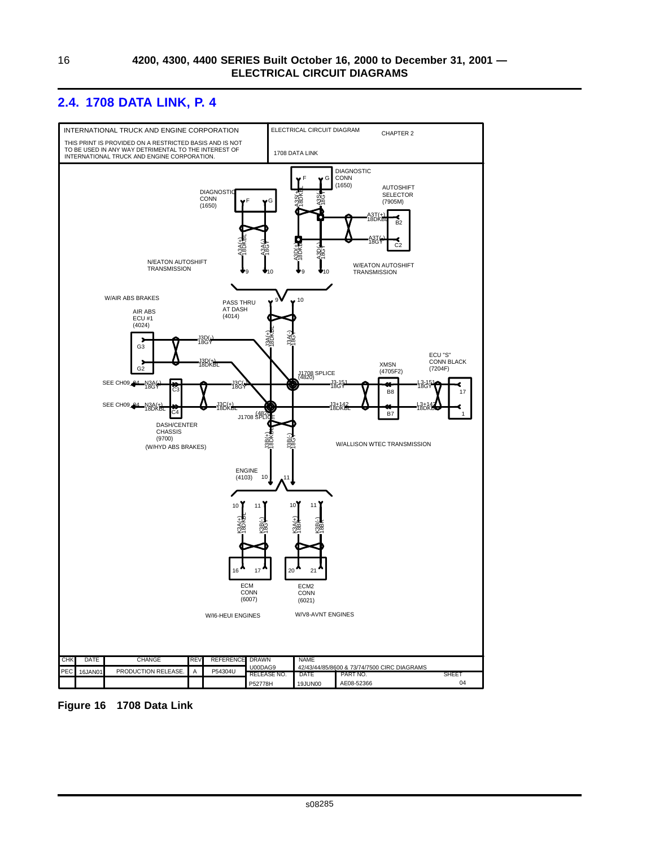### <span id="page-23-0"></span>**2.4. 1708 DATA LINK, P. 4**



**Figure 16 1708 Data Link**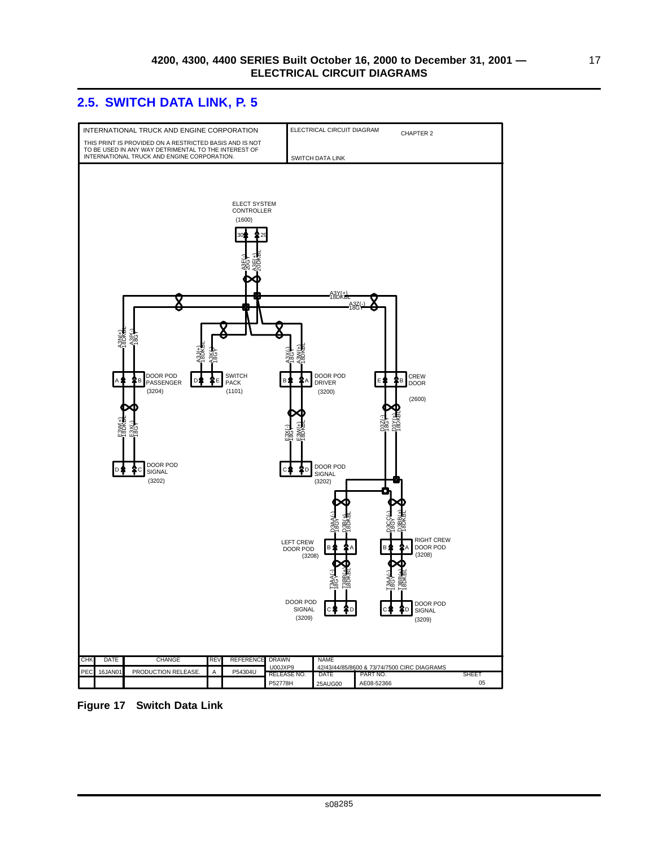### <span id="page-24-0"></span>**2.5. SWITCH DATA LINK, P. 5**



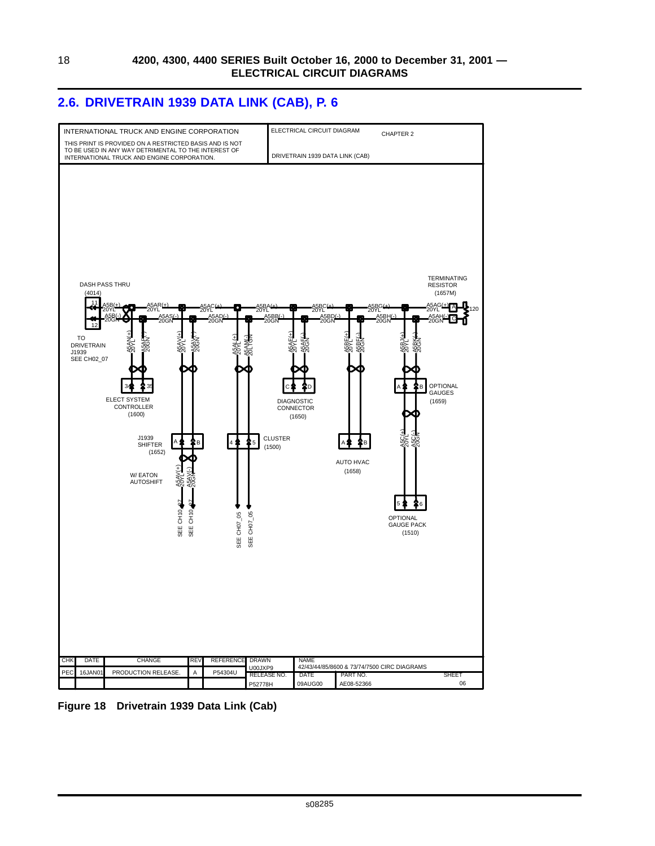### <span id="page-25-0"></span>**2.6. DRIVETRAIN 1939 DATA LINK (CAB), P. 6**



**Figure 18 Drivetrain 1939 Data Link (Cab)**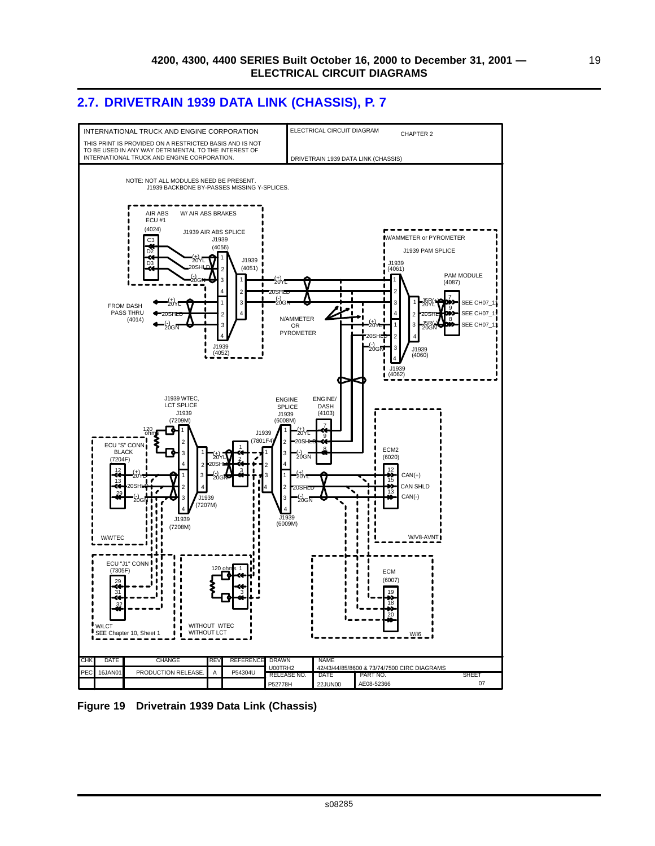19

### <span id="page-26-0"></span>**2.7. DRIVETRAIN 1939 DATA LINK (CHASSIS), P. 7**



**Figure 19 Drivetrain 1939 Data Link (Chassis)**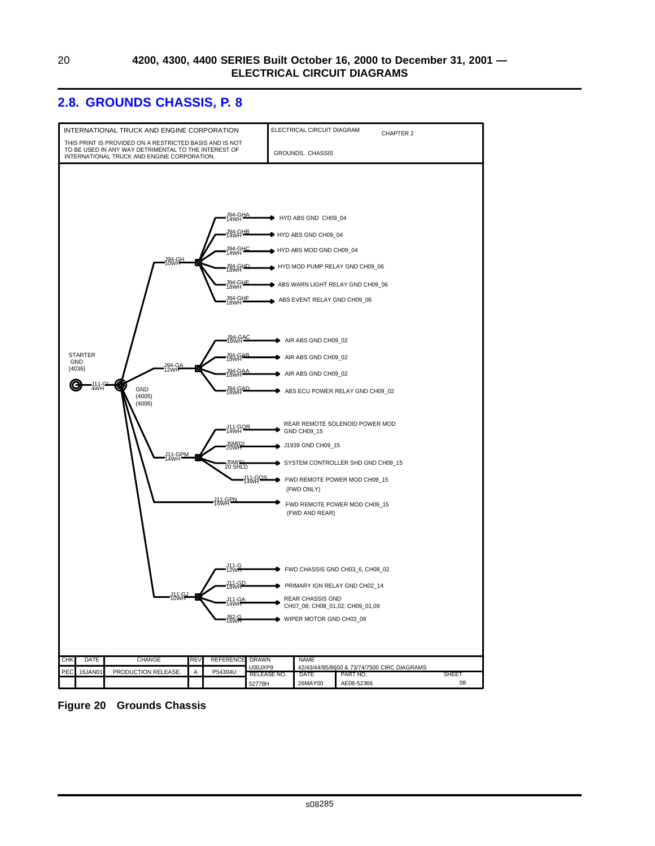#### <span id="page-27-0"></span>**2.8. GROUNDS CHASSIS, P. 8**



**Figure 20 Grounds Chassis**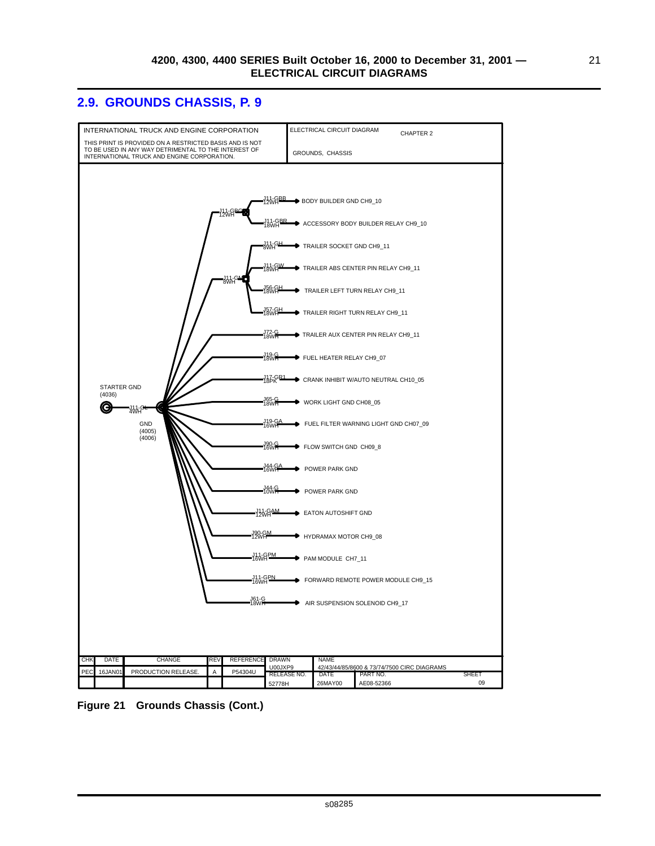21

### <span id="page-28-0"></span>**2.9. GROUNDS CHASSIS, P. 9**



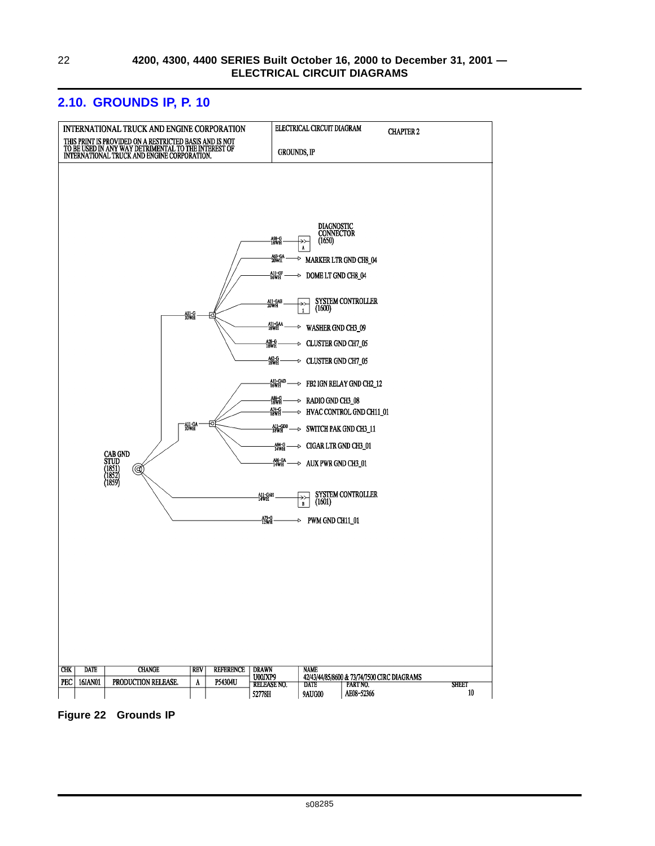

### <span id="page-29-0"></span>**2.10. GROUNDS IP, P. 10**

**Figure 22 Grounds IP**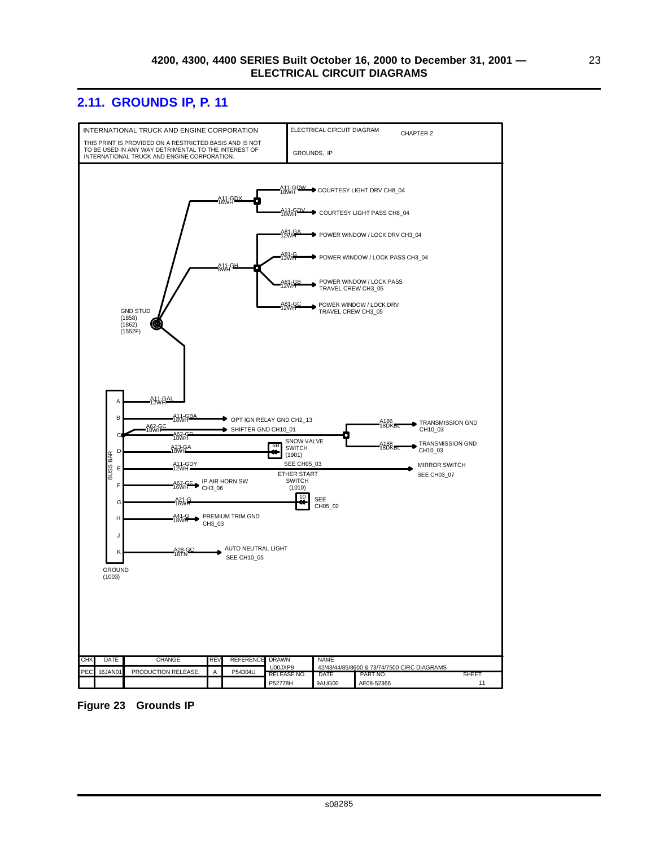### <span id="page-30-0"></span>**2.11. GROUNDS IP, P. 11**



**Figure 23 Grounds IP**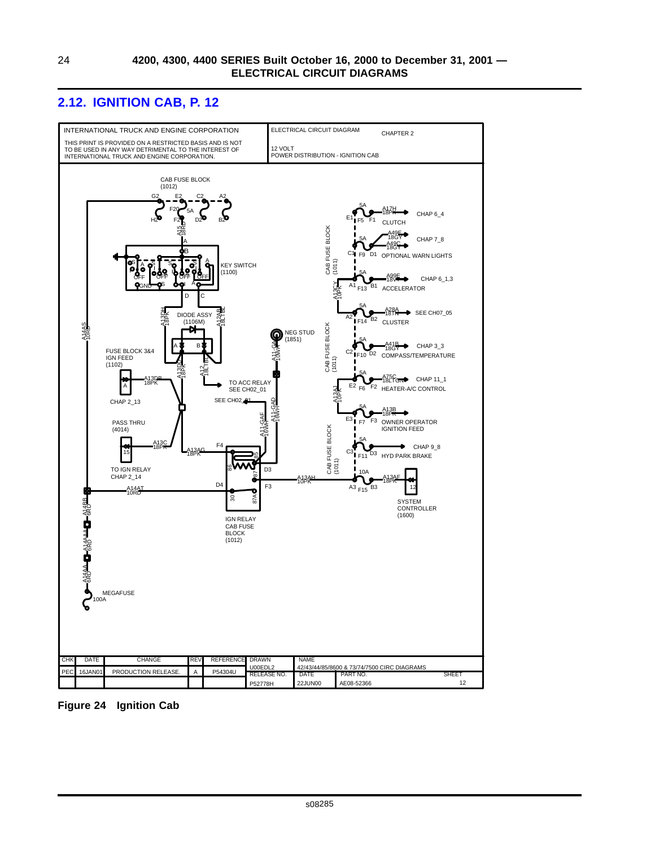### <span id="page-31-0"></span>**2.12. IGNITION CAB, P. 12**



**Figure 24 Ignition Cab**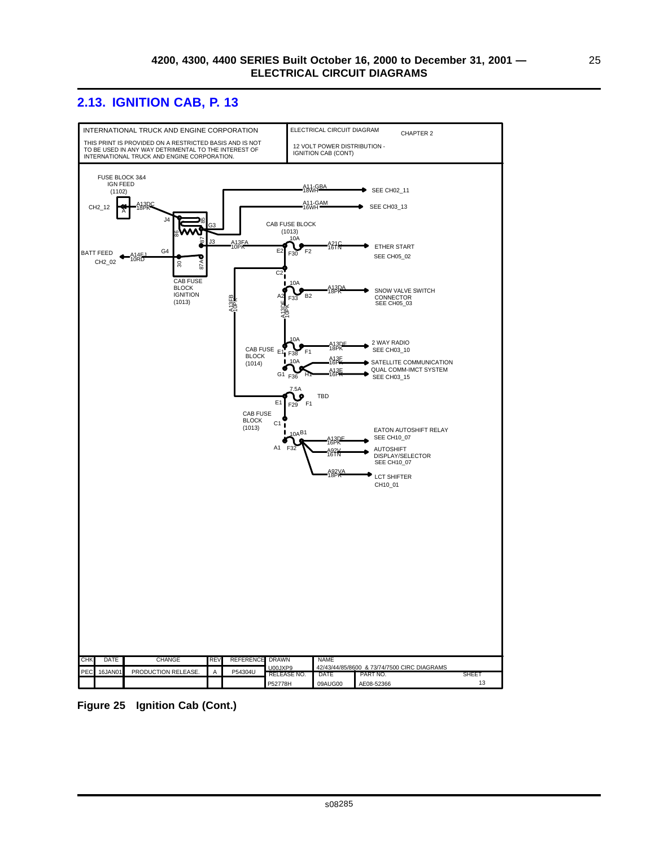### <span id="page-32-0"></span>**2.13. IGNITION CAB, P. 13**



**Figure 25 Ignition Cab (Cont.)**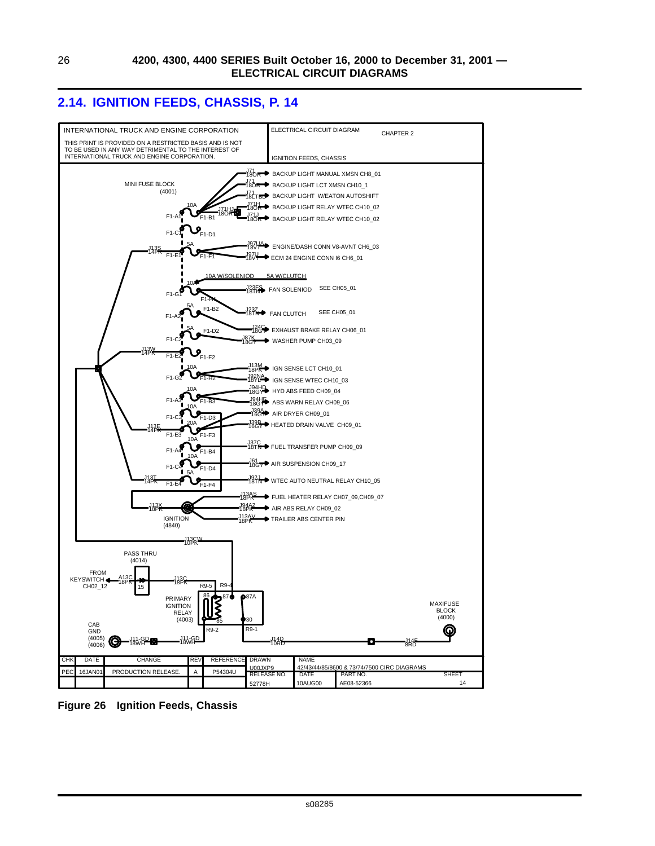### <span id="page-33-0"></span>**2.14. IGNITION FEEDS, CHASSIS, P. 14**



**Figure 26 Ignition Feeds, Chassis**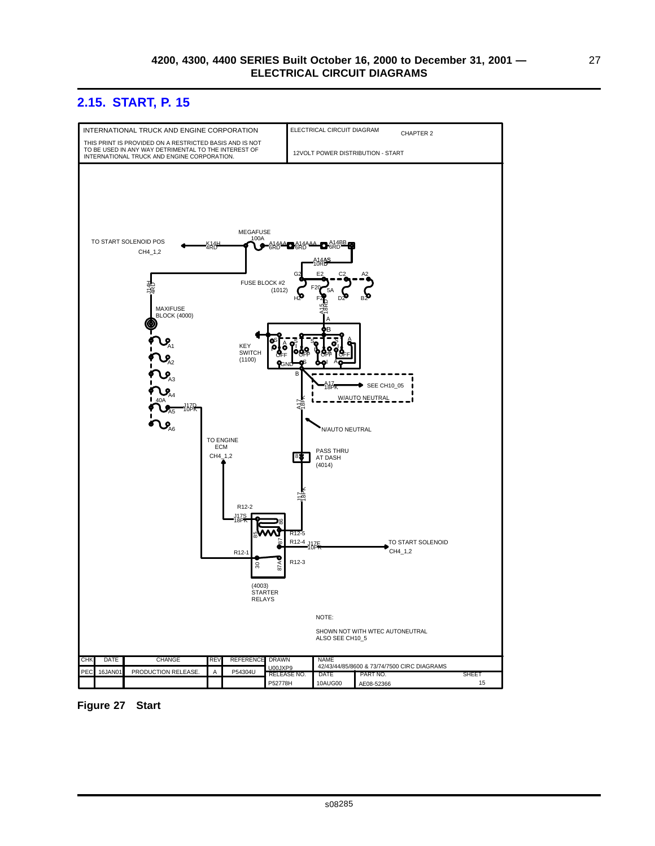### <span id="page-34-0"></span>**2.15. START, P. 15**



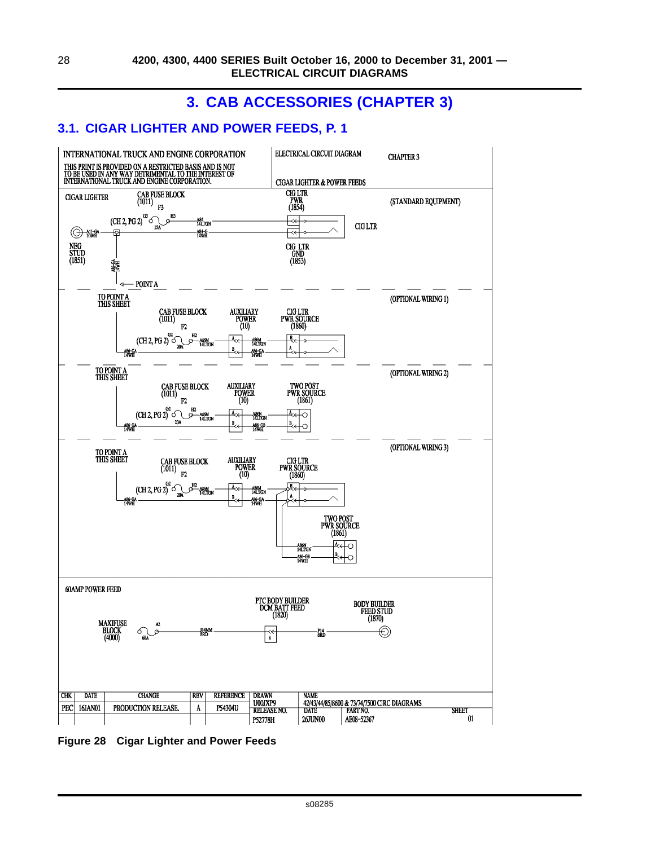# **3. CAB ACCESSORIES (CHAPTER 3)**

### <span id="page-35-0"></span>**3.1. CIGAR LIGHTER AND POWER FEEDS, P. 1**



**Figure 28 Cigar Lighter and Power Feeds**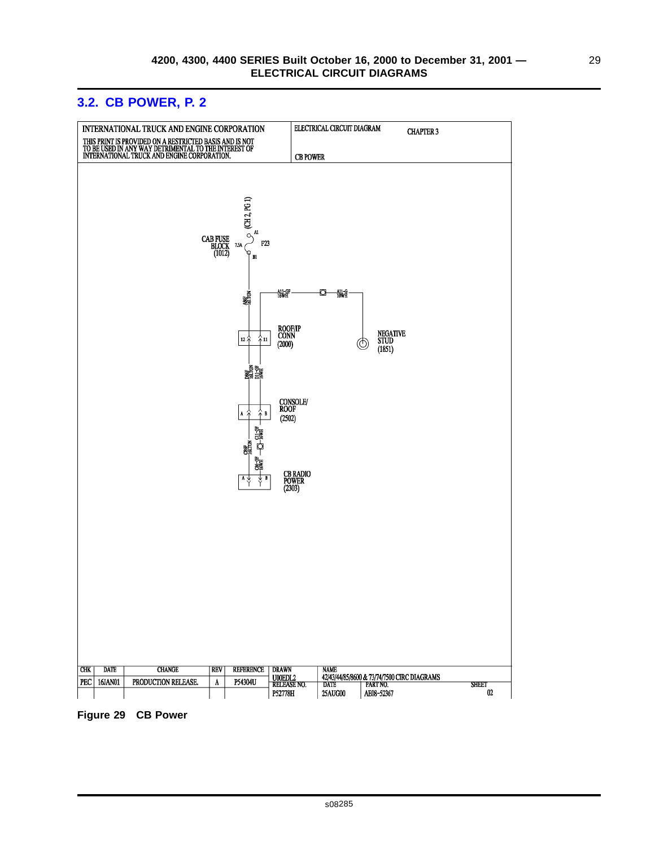<span id="page-36-0"></span>

#### **Figure 29 CB Power**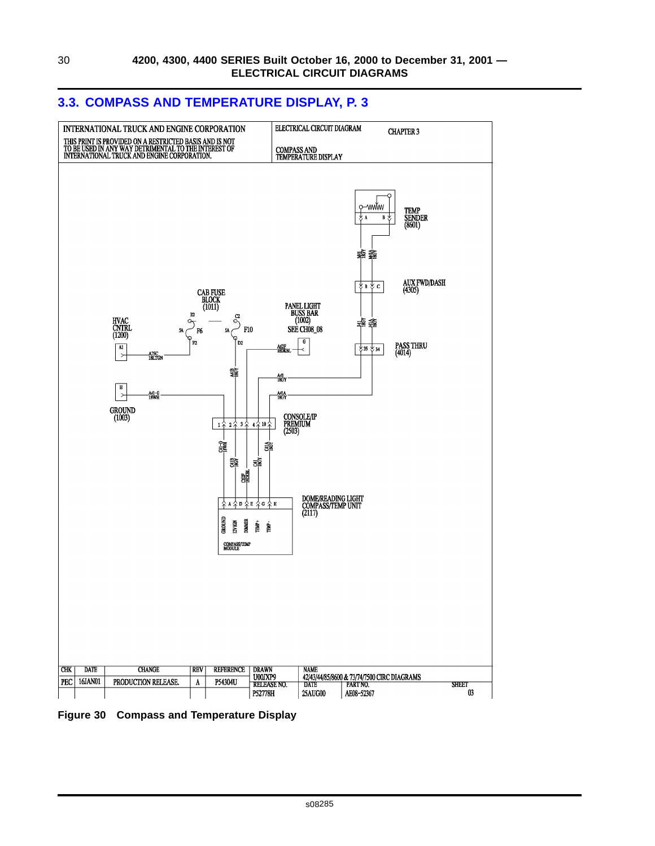

#### <span id="page-37-0"></span>**3.3. COMPASS AND TEMPERATURE DISPLAY, P. 3**

**Figure 30 Compass and Temperature Display**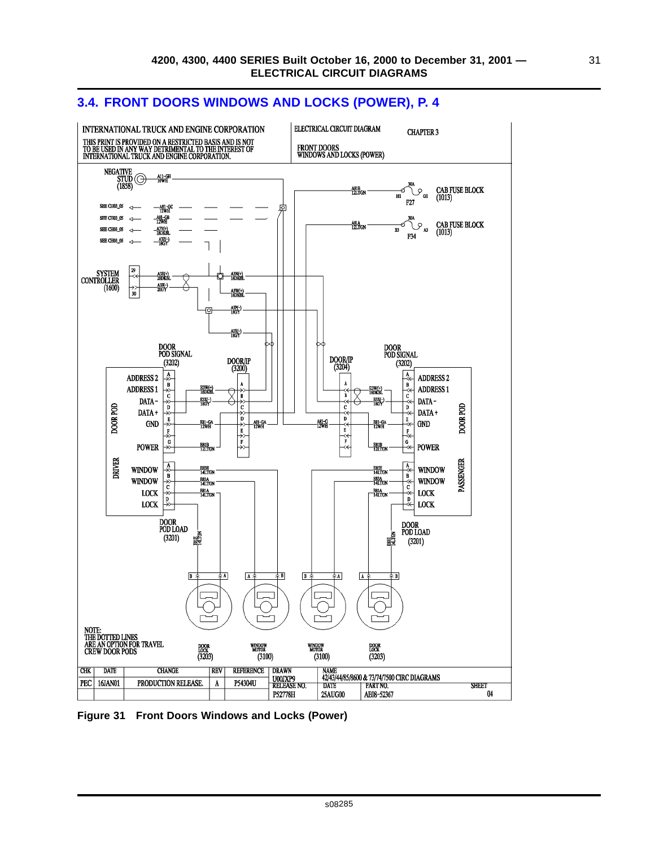

#### <span id="page-38-0"></span>**3.4. FRONT DOORS WINDOWS AND LOCKS (POWER), P. 4**

**Figure 31 Front Doors Windows and Locks (Power)**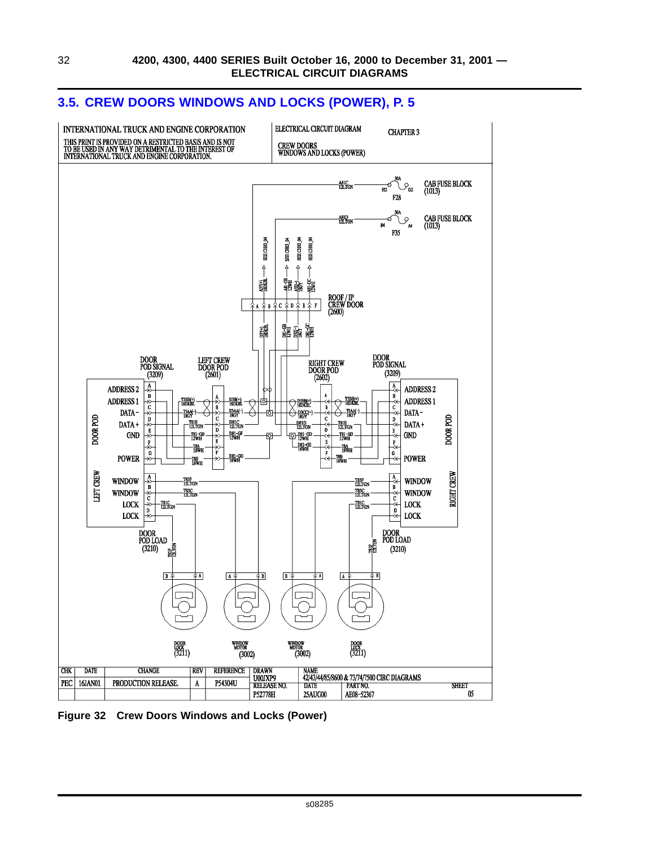### <span id="page-39-0"></span>**3.5. CREW DOORS WINDOWS AND LOCKS (POWER), P. 5**



**Figure 32 Crew Doors Windows and Locks (Power)**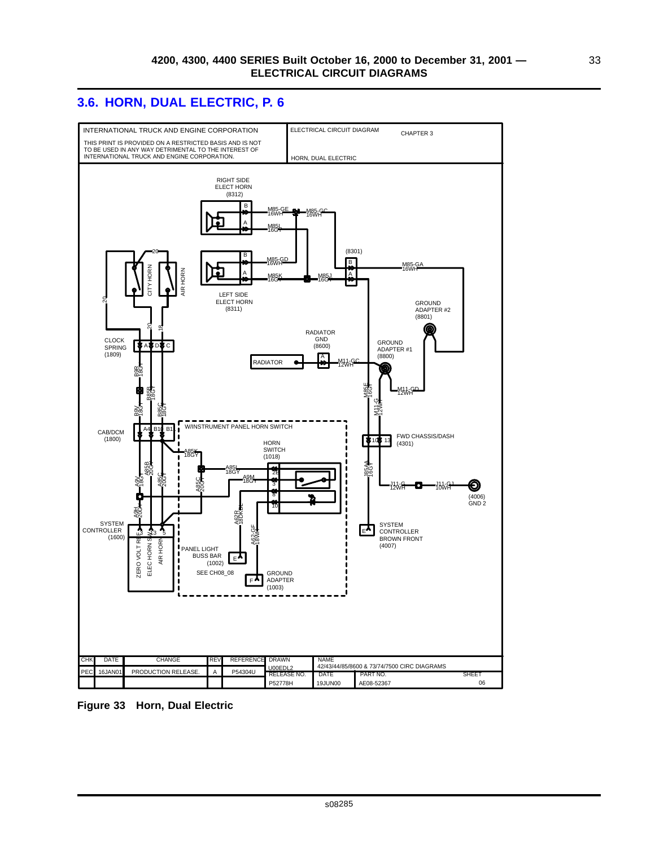### <span id="page-40-0"></span>**3.6. HORN, DUAL ELECTRIC, P. 6**



**Figure 33 Horn, Dual Electric**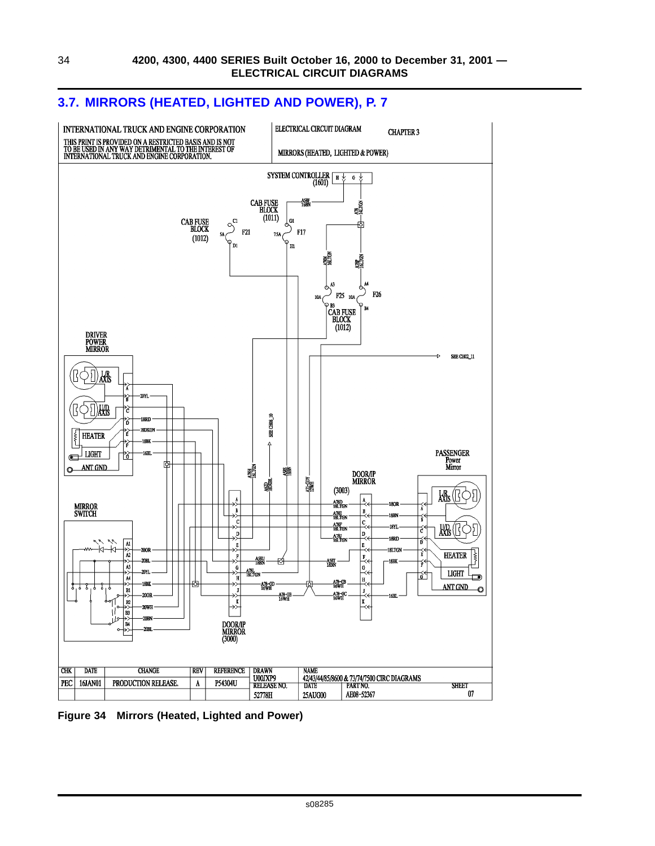

#### <span id="page-41-0"></span>**3.7. MIRRORS (HEATED, LIGHTED AND POWER), P. 7**

**Figure 34 Mirrors (Heated, Lighted and Power)**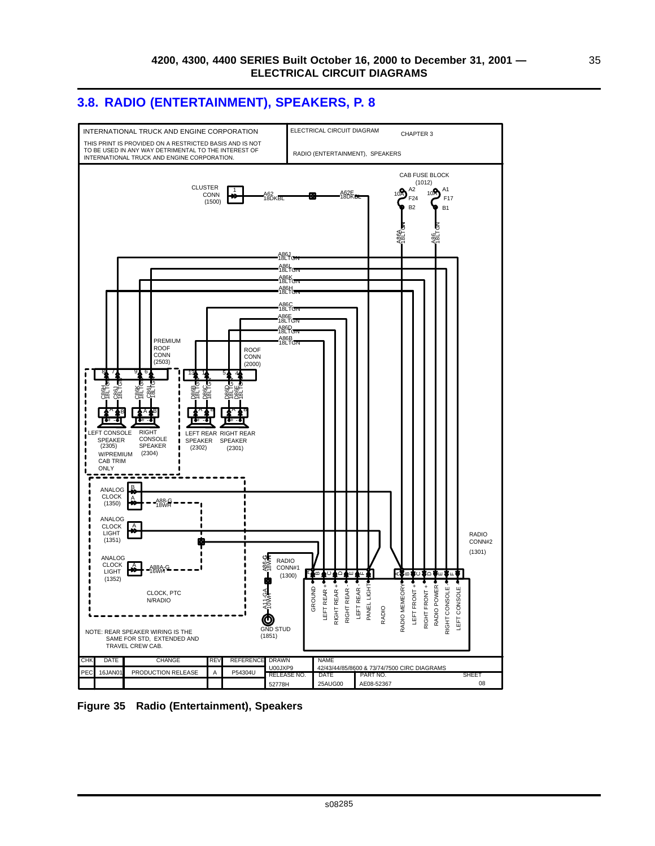### <span id="page-42-0"></span>**3.8. RADIO (ENTERTAINMENT), SPEAKERS, P. 8**



**Figure 35 Radio (Entertainment), Speakers**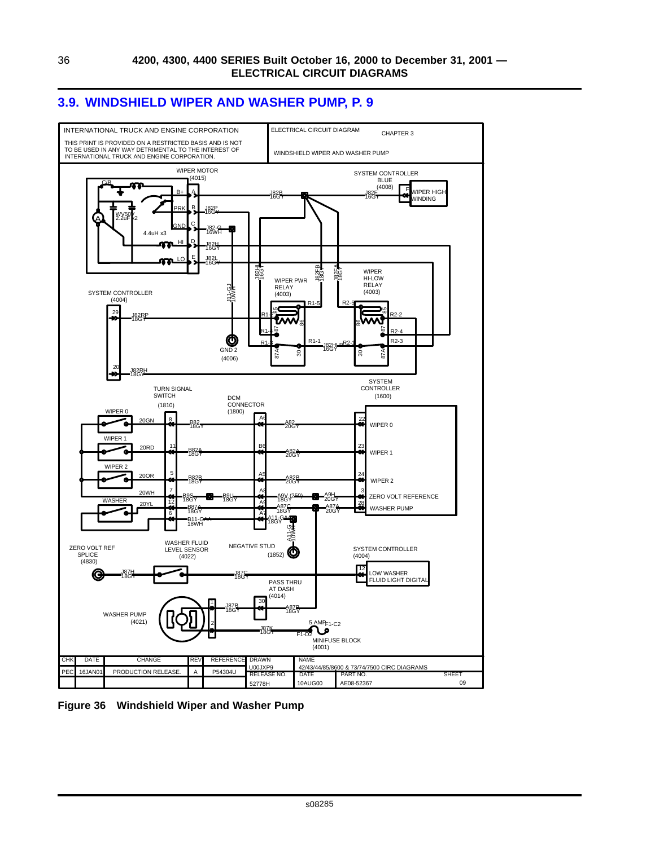

#### <span id="page-43-0"></span>**3.9. WINDSHIELD WIPER AND WASHER PUMP, P. 9**

**Figure 36 Windshield Wiper and Washer Pump**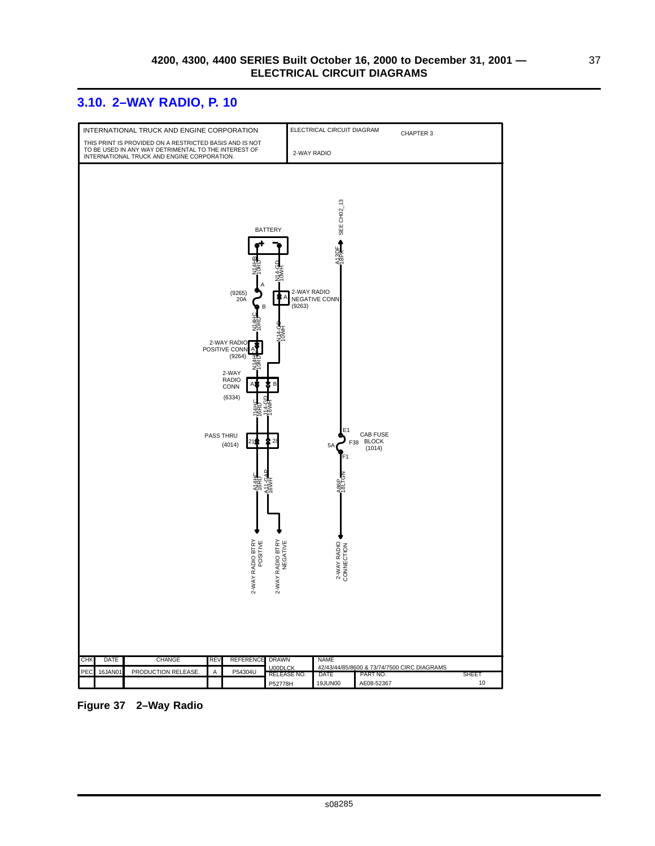### <span id="page-44-0"></span>**3.10. 2–WAY RADIO, P. 10**



**Figure 37 2–Way Radio**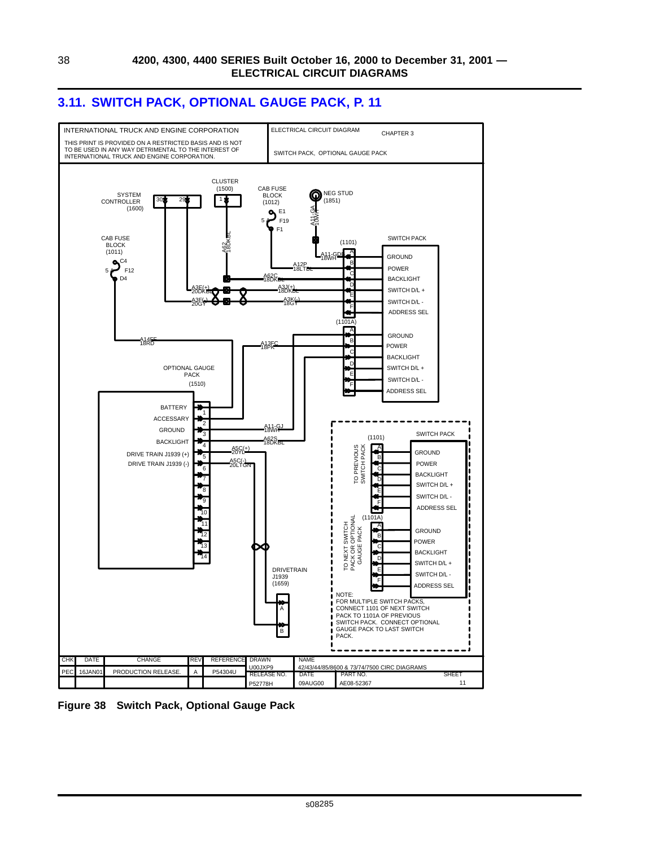

### <span id="page-45-0"></span>**3.11. SWITCH PACK, OPTIONAL GAUGE PACK, P. 11**

**Figure 38 Switch Pack, Optional Gauge Pack**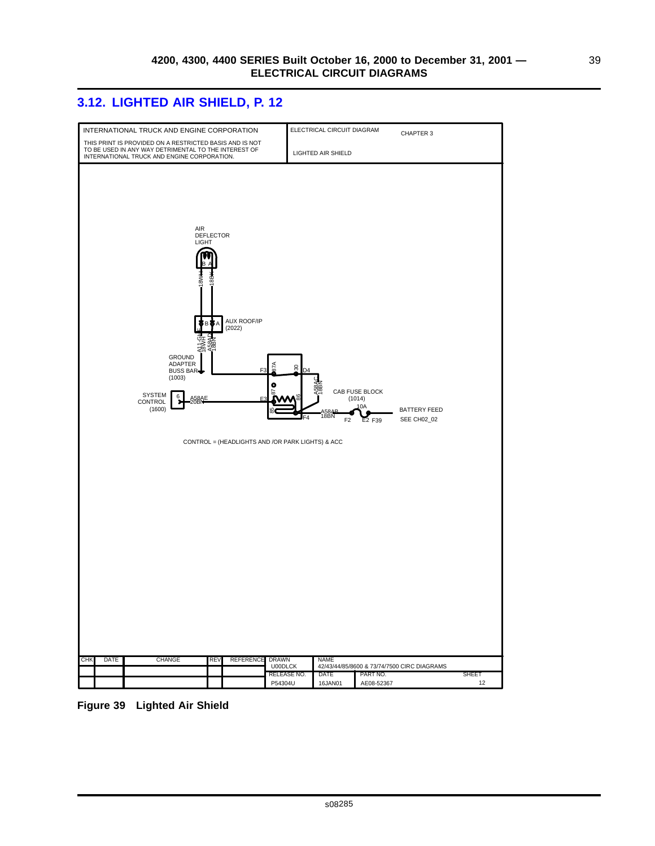39

### <span id="page-46-0"></span>**3.12. LIGHTED AIR SHIELD, P. 12**



**Figure 39 Lighted Air Shield**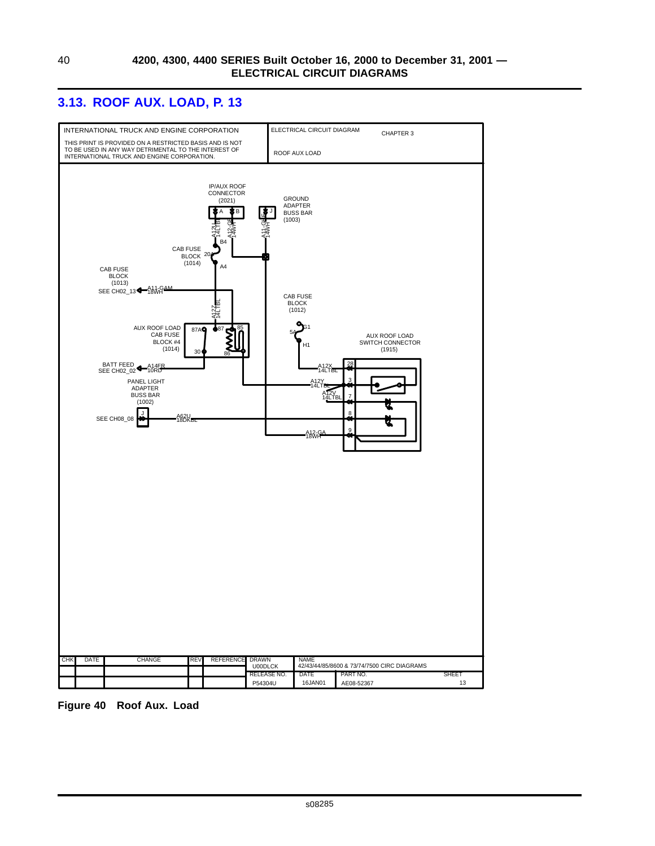### <span id="page-47-0"></span>**3.13. ROOF AUX. LOAD, P. 13**



**Figure 40 Roof Aux. Load**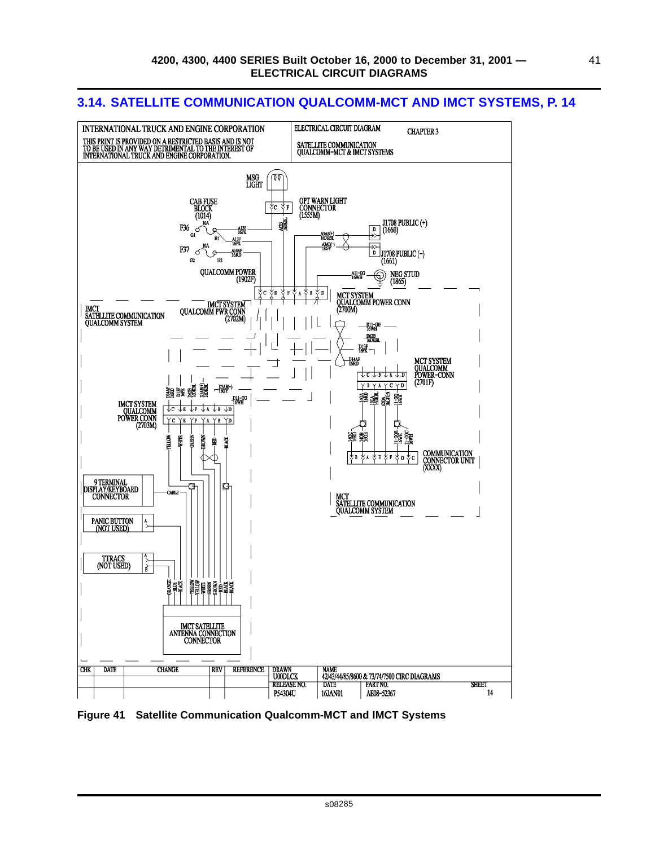#### ELECTRICAL CIRCUIT DIAGRAM INTERNATIONAL TRUCK AND ENGINE CORPORATION **CHAPTER 3** THIS PRINT IS PROVIDED ON A RESTRICTED BASIS AND IS NOT TO BE USED IN ANY WAY DETRIMENTAL TO THE INTEREST OF INTERNATIONAL TOWAL TRUCK AND ENGINE CORPORATION. SATELLITE COMMUNICATION<br>QUALCOMM-MCT & IMCT SYSTEMS MSG<br>LIGHT M CAB FUSE<br>BLOCK<br>(1014) OPT WARN LIGHT<br>CONNECTOR<br>(1555M)  $\overline{\psi_{\mathbf{C}}}$   $\overline{\psi_{\mathbf{F}}}$ J1708 PUBLIC (+)<br>(1660) 鑘 F36 A13E<br>16PK  $\overline{\mathbf{p}}$ A3AB(+)<br>16DKBL A13F<br>16PK A3AB(-) F37 A14AF<br>16RD đ ΙĎ |<br>|J1708 PUBLIC (-)<br>(1661)  $G2$ E2 QUALCOMM POWER<br>(1902F) NEG STUD<br>(1865)  $\circledcirc$ ₹η Уĸ ৬ F k d∫ B MCT SYSTEM<br>QUALCOMM POWER CONN<br>(2700M) MCT SYSTEM QUALCOMM PWR CONN (2702M) IMCT<br>SATELLITE COMMUNICATION<br>QUALCOMM SYSTEM ∩ \_D11-GG<br>16WH D62B<br>16DKBL  $rac{D13F}{16FK}$ MCT SYSTEM<br>QUALCOMM<br>POWER-CONN D14AF<br>16RD ᠊ᡶᡄᡫᡑᡫᠷᡫᢧ  $(2701F)$  $Y$   $Y$   $A$   $Y$   $C$   $Y$   $D$  $\frac{D3AB(-)}{18GY}$ 龘 調讓 鬚  $\frac{33}{26}$ 蜜 D11-GG<br>16WH **IMCT SYSTEM<br>QUALCOMM<br>POWER CONN<br>(2703M)**  $\sqrt{B}$   $\sqrt{D}$ Υc YB YD D C 鲳蟹 WITEL **ANDS** ROWN Ē 目 **NACK** COMMUNICATION<br>CONNECTOR UNIT<br>(XXXX) ∥∲ b اγ∢  $\mathbf F$ †р †с ᡗ 9 TERMINAL<br>|DISPLAY/KEYBOARD<br>|CONNECTOR ħ **CABLE** MCT<br>SATELLITE COMMUNICATION<br>QUALCOMM SYSTEM PANIC BUTTON<br>(NOT USED)  $\frac{1}{2}$ TTRACS<br>(NOT USED) —<br>آ∎ ‡υα<br>πα **ORANGE** IMCT SATELLITE<br>ANTENNA CONNECTION<br>CONNECTOR **CHK** DATE **CHANGE REV REFERENCE** NAME<br>42/43/44/85/8600 & 73/74/7500 CIRC DIAGRAMS **DRAWN U00DLCK RELEASE NO DATE** PART NO. **SHEET**  $14$ P54304U 16JAN01 AE08-52367

#### <span id="page-48-0"></span>**3.14. SATELLITE COMMUNICATION QUALCOMM-MCT AND IMCT SYSTEMS, P. 14**

**Figure 41 Satellite Communication Qualcomm-MCT and IMCT Systems**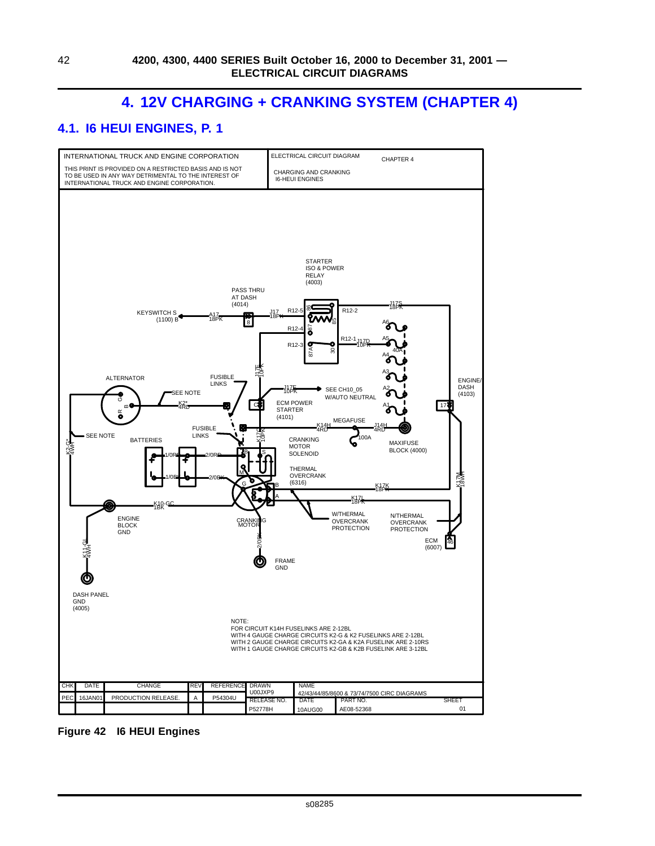# **4. 12V CHARGING + CRANKING SYSTEM (CHAPTER 4)**

### <span id="page-49-0"></span>**4.1. I6 HEUI ENGINES, P. 1**



**Figure 42 I6 HEUI Engines**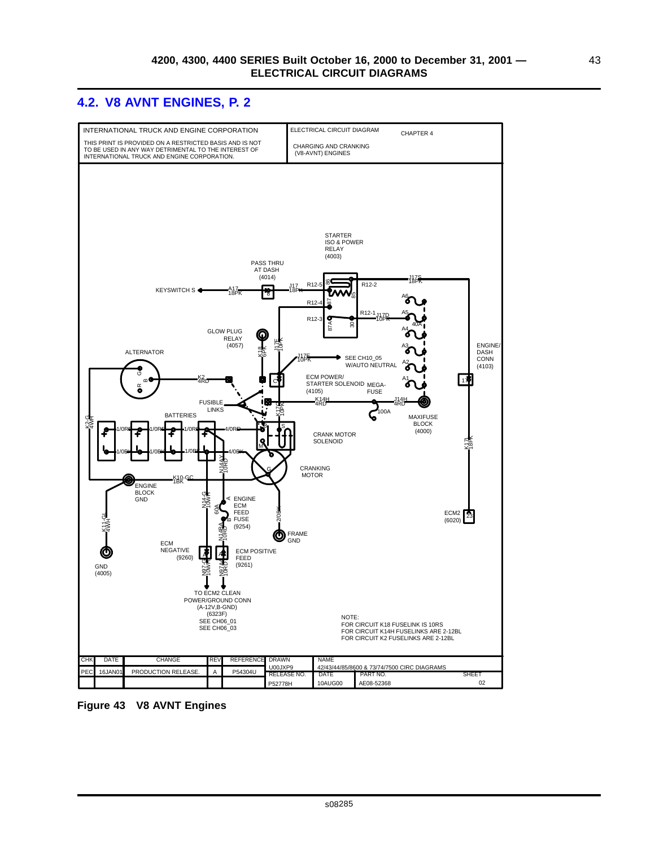### <span id="page-50-0"></span>**4.2. V8 AVNT ENGINES, P. 2**



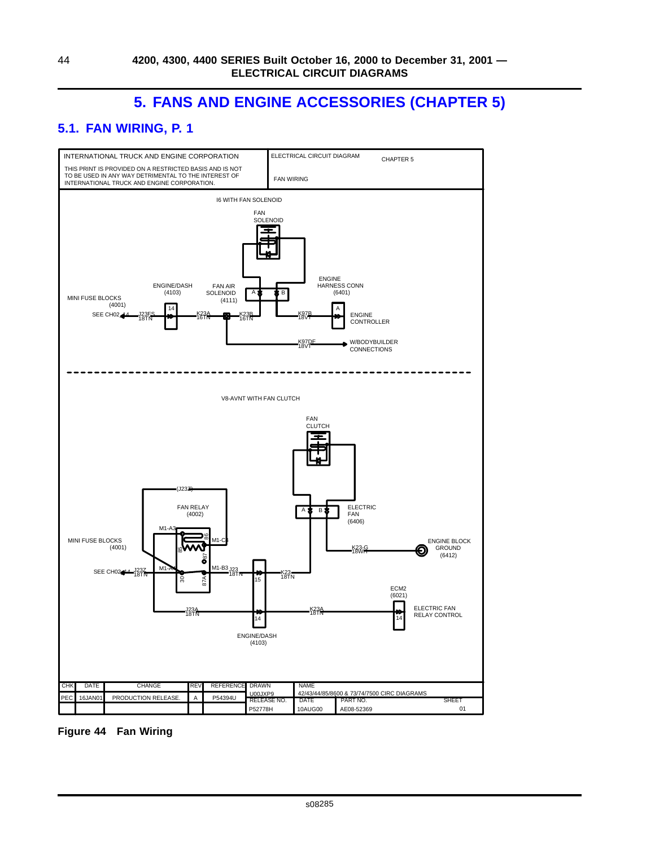# **5. FANS AND ENGINE ACCESSORIES (CHAPTER 5)**

# <span id="page-51-0"></span>**5.1. FAN WIRING, P. 1**



**Figure 44 Fan Wiring**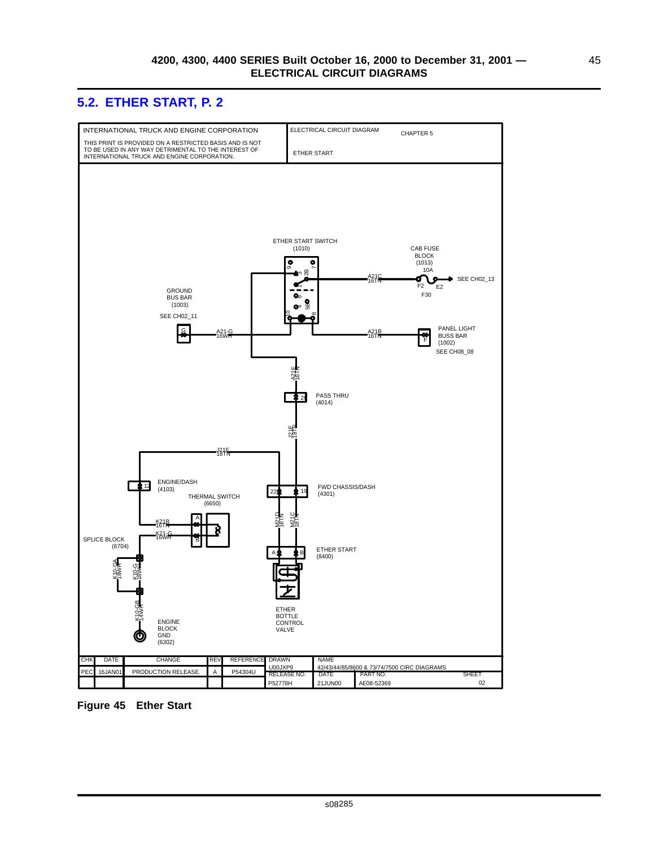### <span id="page-52-0"></span>**5.2. ETHER START, P. 2**



**Figure 45 Ether Start**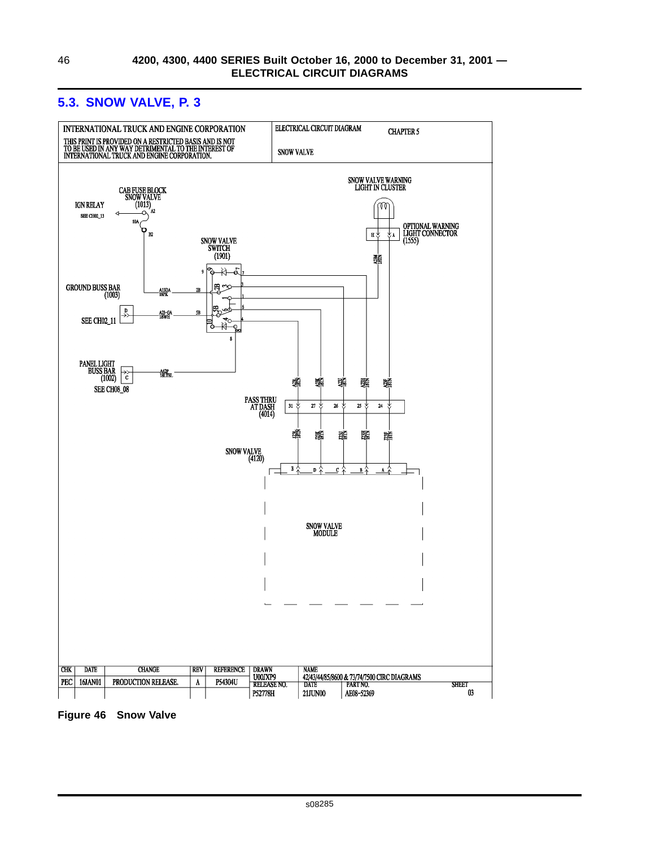

### <span id="page-53-0"></span>**5.3. SNOW VALVE, P. 3**

**Figure 46 Snow Valve**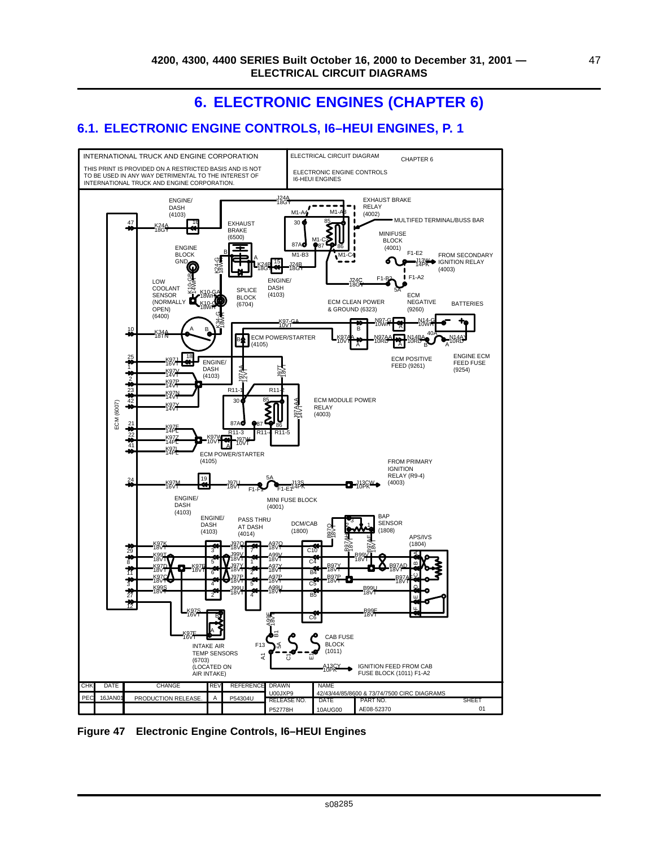# **6. ELECTRONIC ENGINES (CHAPTER 6)**

### <span id="page-54-0"></span>**6.1. ELECTRONIC ENGINE CONTROLS, I6–HEUI ENGINES, P. 1**



**Figure 47 Electronic Engine Controls, I6–HEUI Engines**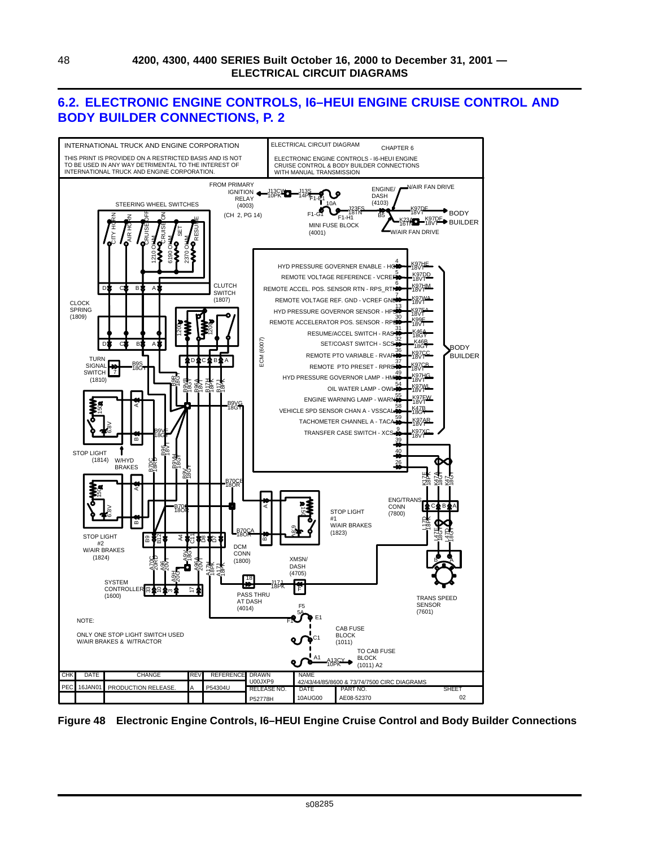### <span id="page-55-0"></span>**6.2. ELECTRONIC ENGINE CONTROLS, I6–HEUI ENGINE CRUISE CONTROL AND BODY BUILDER CONNECTIONS, P. 2**



**Figure 48 Electronic Engine Controls, I6–HEUI Engine Cruise Control and Body Builder Connections**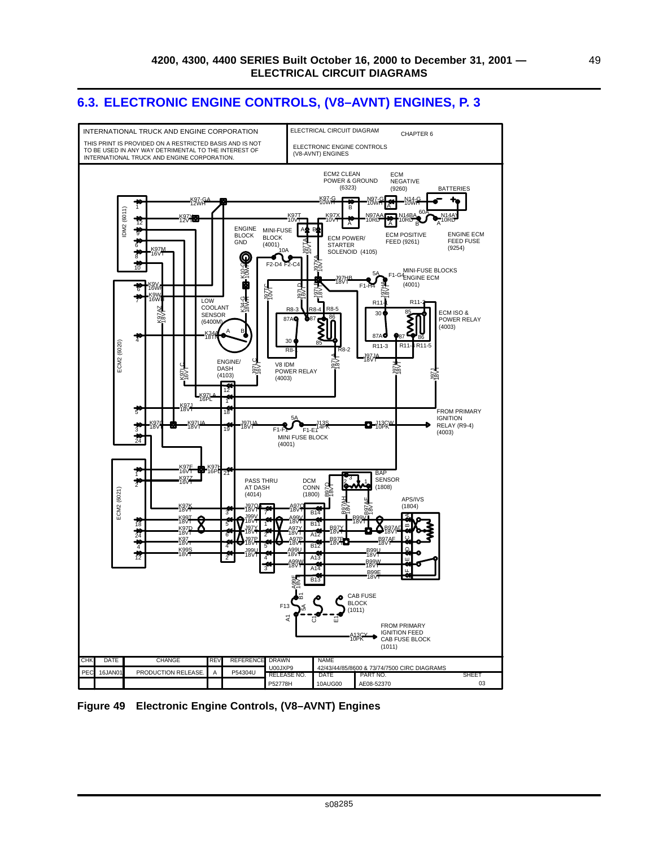### <span id="page-56-0"></span>**6.3. ELECTRONIC ENGINE CONTROLS, (V8–AVNT) ENGINES, P. 3**



**Figure 49 Electronic Engine Controls, (V8–AVNT) Engines**